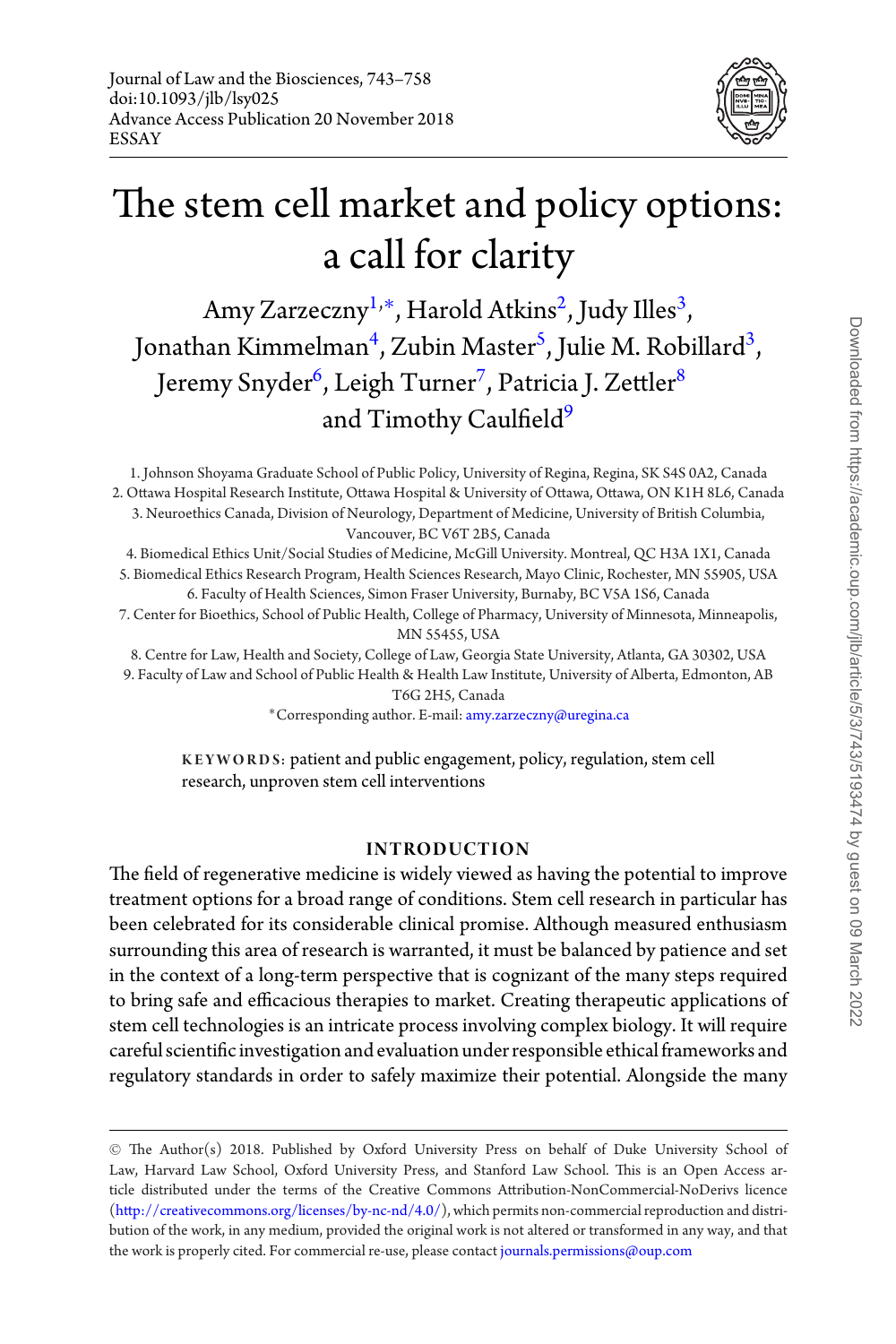

# The stem cell market and policy options: a call for clarity

Amy Zarzeczny<sup>[1,](#page-0-0)[∗](#page-0-1)</sup>, Harold Atkins<sup>2</sup>, Judy Illes<sup>3</sup>, Jonathan Kimmelman<sup>4</sup>, Zubin Master<sup>5</sup>, Julie M. Robillard<sup>3</sup>, Jeremy Snyder<sup>6</sup>, Leigh Turner<sup>7</sup>, Patricia J. Zettler<sup>8</sup> and Timothy Caulfield<sup>9</sup>

<span id="page-0-3"></span><span id="page-0-2"></span><span id="page-0-0"></span>1. Johnson Shoyama Graduate School of Public Policy, University of Regina, Regina, SK S4S 0A2, Canada 2. Ottawa Hospital Research Institute, Ottawa Hospital & University of Ottawa, Ottawa, ON K1H 8L6, Canada 3. Neuroethics Canada, Division of Neurology, Department of Medicine, University of British Columbia, Vancouver, BC V6T 2B5, Canada 4. Biomedical Ethics Unit/Social Studies of Medicine, McGill University. Montreal, QC H3A 1X1, Canada 5. Biomedical Ethics Research Program, Health Sciences Research, Mayo Clinic, Rochester, MN 55905, USA

<span id="page-0-7"></span><span id="page-0-6"></span><span id="page-0-5"></span><span id="page-0-4"></span>6. Faculty of Health Sciences, Simon Fraser University, Burnaby, BC V5A 1S6, Canada 7. Center for Bioethics, School of Public Health, College of Pharmacy, University of Minnesota, Minneapolis,

MN 55455, USA

<span id="page-0-9"></span><span id="page-0-8"></span>8. Centre for Law, Health and Society, College of Law, Georgia State University, Atlanta, GA 30302, USA 9. Faculty of Law and School of Public Health & Health Law Institute, University of Alberta, Edmonton, AB T6G 2H5, Canada

<span id="page-0-1"></span>∗Corresponding author. E-mail: [amy.zarzeczny@uregina.ca](mailto:amy.zarzeczny@uregina.ca)

**KEYWORDS:** patient and public engagement, policy, regulation, stem cell research, unproven stem cell interventions

### **INTRODUCTION**

The field of regenerative medicine is widely viewed as having the potential to improve treatment options for a broad range of conditions. Stem cell research in particular has been celebrated for its considerable clinical promise. Although measured enthusiasm surrounding this area of research is warranted, it must be balanced by patience and set in the context of a long-term perspective that is cognizant of the many steps required to bring safe and efficacious therapies to market. Creating therapeutic applications of stem cell technologies is an intricate process involving complex biology. It will require careful scientific investigation and evaluation under responsible ethical frameworks and regulatory standards in order to safely maximize their potential. Alongside the many

<sup>C</sup> The Author(s) 2018. Published by Oxford University Press on behalf of Duke University School of Law, Harvard Law School, Oxford University Press, and Stanford Law School. This is an Open Access article distributed under the terms of the Creative Commons Attribution-NonCommercial-NoDerivs licence [\(http://creativecommons.org/licenses/by-nc-nd/4.0/\)](http://creativecommons.org/licenses/by-nc-nd/4.0/), which permits non-commercial reproduction and distribution of the work, in any medium, provided the original work is not altered or transformed in any way, and that the work is properly cited. For commercial re-use, please contact [journals.permissions@oup.com](mailto:journals.permissions@oup.com)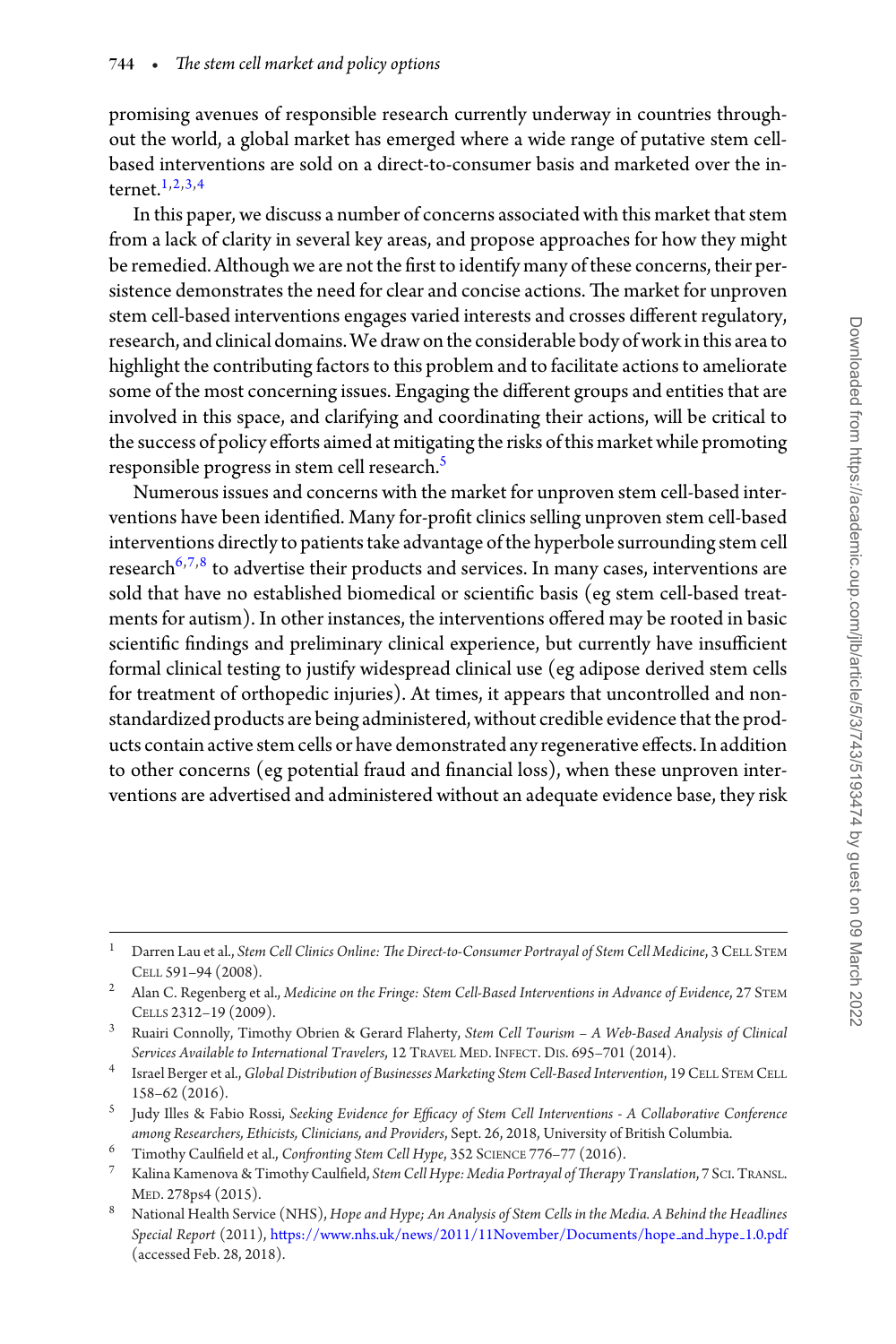promising avenues of responsible research currently underway in countries throughout the world, a global market has emerged where a wide range of putative stem cellbased interventions are sold on a direct-to-consumer basis and marketed over the internet $1,2,3,4$  $1,2,3,4$  $1,2,3,4$  $1,2,3,4$ 

In this paper, we discuss a number of concerns associated with this market that stem from a lack of clarity in several key areas, and propose approaches for how they might be remedied. Although we are not the first to identify many of these concerns, their persistence demonstrates the need for clear and concise actions. The market for unproven stem cell-based interventions engages varied interests and crosses different regulatory, research, and clinical domains.We draw onthe considerable body of work inthis areato highlight the contributing factors to this problem and to facilitate actions to ameliorate some of the most concerning issues. Engaging the different groups and entities that are involved in this space, and clarifying and coordinating their actions, will be critical to the success of policy efforts aimed at mitigating the risks of this market while promoting responsible progress in stem cell research.<sup>[5](#page-1-4)</sup>

Numerous issues and concerns with the market for unproven stem cell-based interventions have been identified. Many for-profit clinics selling unproven stem cell-based interventions directly to patients take advantage of the hyperbole surrounding stem cell research $6,7,8$  $6,7,8$  $6,7,8$  to advertise their products and services. In many cases, interventions are sold that have no established biomedical or scientific basis (eg stem cell-based treatments for autism). In other instances, the interventions offered may be rooted in basic scientific findings and preliminary clinical experience, but currently have insufficient formal clinical testing to justify widespread clinical use (eg adipose derived stem cells for treatment of orthopedic injuries). At times, it appears that uncontrolled and nonstandardized products are being administered, without credible evidence that the products contain active stem cells or have demonstrated any regenerative effects. In addition to other concerns (eg potential fraud and financial loss), when these unproven interventions are advertised and administered without an adequate evidence base, they risk

<span id="page-1-0"></span><sup>&</sup>lt;sup>1</sup> Darren Lau et al., *Stem Cell Clinics Online: The Direct-to-Consumer Portrayal of Stem Cell Medicine*, 3 CELL STEM CELL 591–94 (2008).

<span id="page-1-1"></span><sup>2</sup> Alan C. Regenberg et al., *Medicine on the Fringe: Stem Cell-Based Interventions in Advance of Evidence*, 27 STEM CELLS 2312–19 (2009).

<span id="page-1-2"></span><sup>3</sup> Ruairi Connolly, Timothy Obrien & Gerard Flaherty, *Stem Cell Tourism – A Web-Based Analysis of Clinical Services Available to International Travelers*, 12 TRAVEL MED. INFECT. DIS. 695–701 (2014).

<span id="page-1-3"></span><sup>4</sup> Israel Berger et al.,*Global Distribution of Businesses Marketing Stem Cell-Based Intervention*, 19 CELL STEM CELL 158–62 (2016).

<span id="page-1-4"></span><sup>5</sup> Judy Illes & Fabio Rossi, *Seeking Evidence for Efficacy of Stem Cell Interventions - A Collaborative Conference among Researchers, Ethicists, Clinicians, and Providers*, Sept. 26, 2018, University of British Columbia.

<span id="page-1-5"></span><sup>6</sup> Timothy Caulfield et al., *Confronting Stem Cell Hype*, 352 SCIENCE 776–77 (2016).

<span id="page-1-6"></span><sup>7</sup> Kalina Kamenova & Timothy Caulfield, *Stem Cell Hype: Media Portrayal ofTherapy Translation*,7SCI. TRANSL. MED. 278ps4 (2015).

<span id="page-1-7"></span><sup>8</sup> National Health Service (NHS), *Hope and Hype; An Analysis of Stem Cells in the Media. A Behind the Headlines Special Report* (2011), [https://www.nhs.uk/news/2011/11November/Documents/hope](https://www.nhs.uk/news/2011/11November/Documents/hope_and_hype_1.0.pdf) and hype 1.0.pdf (accessed Feb. 28, 2018).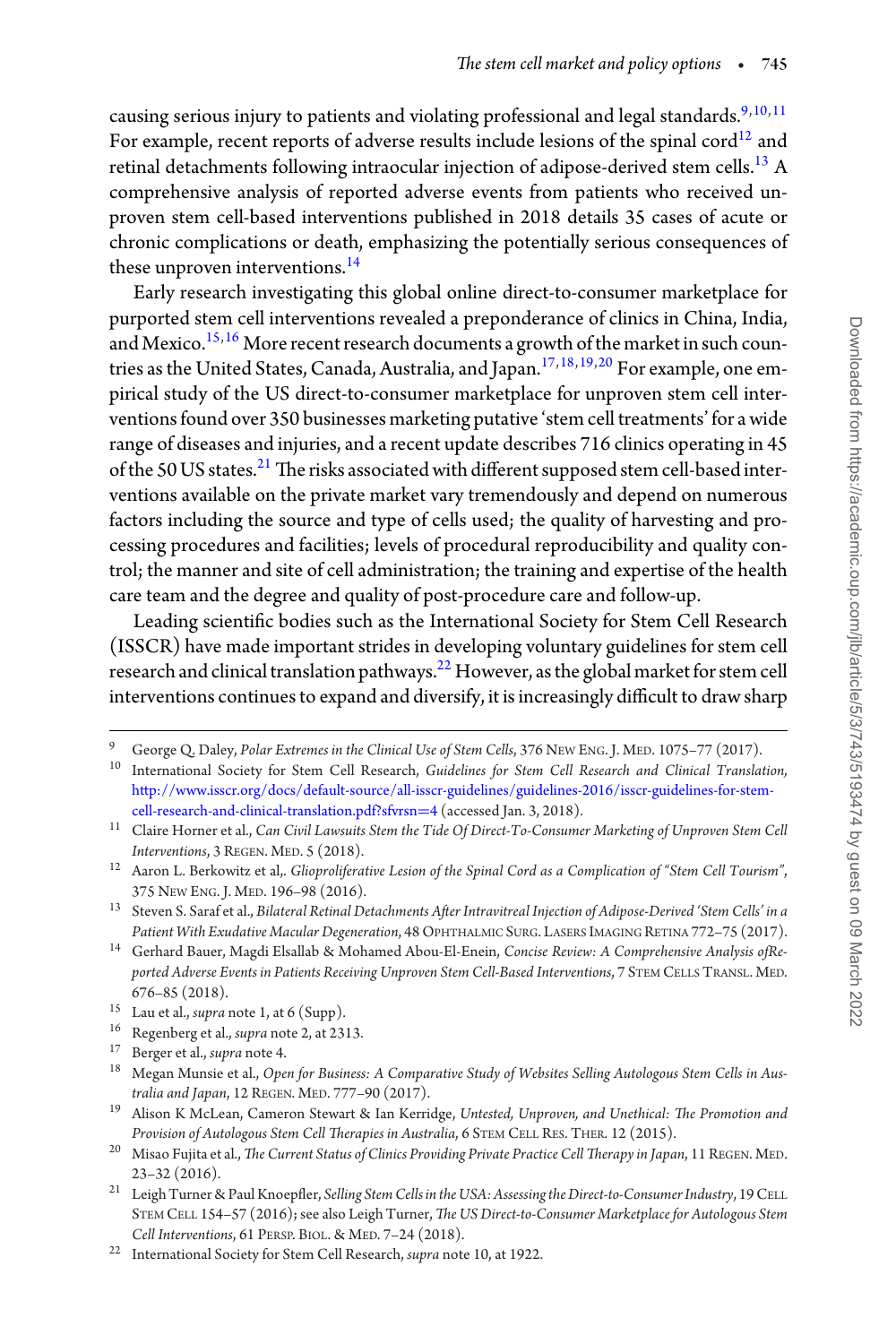causing serious injury to patients and violating professional and legal standards.<sup>9,[10,](#page-2-1)[11](#page-2-2)</sup> For example, recent reports of adverse results include lesions of the spinal cord<sup>12</sup> and retinal detachments following intraocular injection of adipose-derived stem cells.<sup>[13](#page-2-4)</sup> A comprehensive analysis of reported adverse events from patients who received unproven stem cell-based interventions published in 2018 details 35 cases of acute or chronic complications or death, emphasizing the potentially serious consequences of these unproven interventions.<sup>[14](#page-2-5)</sup>

Early research investigating this global online direct-to-consumer marketplace for purported stem cell interventions revealed a preponderance of clinics in China, India, and Mexico.<sup>15,[16](#page-2-7)</sup> More recent research documents a growth of the market in such coun-tries as the United States, Canada, Australia, and Japan.<sup>[17](#page-2-8)[,18,](#page-2-9)[19](#page-2-10)[,20](#page-2-11)</sup> For example, one empirical study of the US direct-to-consumer marketplace for unproven stem cell interventions found over 350 businesses marketing putative 'stem cell treatments' for a wide range of diseases and injuries, and a recent update describes 716 clinics operating in 45 of the 50 US states.<sup>21</sup> The risks associated with different supposed stem cell-based interventions available on the private market vary tremendously and depend on numerous factors including the source and type of cells used; the quality of harvesting and processing procedures and facilities; levels of procedural reproducibility and quality control; the manner and site of cell administration; the training and expertise of the health care team and the degree and quality of post-procedure care and follow-up.

Leading scientific bodies such as the International Society for Stem Cell Research (ISSCR) have made important strides in developing voluntary guidelines for stem cell research and clinical translation pathways.<sup>22</sup> However, as the global market for stem cell interventions continues to expand and diversify, it is increasingly difficult to draw sharp

<span id="page-2-1"></span><span id="page-2-0"></span><sup>9</sup> George Q. Daley, *Polar Extremes in the Clinical Use of Stem Cells*, 376 NEW ENG. J. MED. 1075–77 (2017).

<sup>10</sup> International Society for Stem Cell Research, *Guidelines for Stem Cell Research and Clinical Translation,* [http://www.isscr.org/docs/default-source/all-isscr-guidelines/guidelines-2016/isscr-guidelines-for-stem](http://www.isscr.org/docs/default-source/all-isscr-guidelines/guidelines-2016/isscr-guidelines-for-stem-cell-research-and-clinical-translation.pdf?sfvrsn=4)[cell-research-and-clinical-translation.pdf?sfvrsn](http://www.isscr.org/docs/default-source/all-isscr-guidelines/guidelines-2016/isscr-guidelines-for-stem-cell-research-and-clinical-translation.pdf?sfvrsn=4)=<sup>4</sup> (accessed Jan. 3, 2018). <sup>11</sup> Claire Horner et al., *Can Civil Lawsuits Stem the Tide Of Direct-To-Consumer Marketing of Unproven Stem Cell*

<span id="page-2-2"></span>*Interventions*,3REGEN. MED. 5 (2018).

<span id="page-2-3"></span><sup>12</sup> Aaron L. Berkowitz et al,. *Glioproliferative Lesion of the Spinal Cord as a Complication of "Stem Cell Tourism"*, 375 NEW ENG. J. MED. 196–98 (2016).

<span id="page-2-4"></span><sup>13</sup> Steven S. Saraf et al., *Bilateral Retinal Detachments After Intravitreal Injection of Adipose-Derived 'Stem Cells' in a Patient With Exudative Macular Degeneration*, 48 OPHTHALMIC SURG. LASERS IMAGING RETINA 772–75 (2017).

<span id="page-2-5"></span><sup>14</sup> Gerhard Bauer, Magdi Elsallab & Mohamed Abou-El-Enein, *Concise Review: A Comprehensive Analysis ofReported Adverse Events in Patients Receiving Unproven Stem Cell-Based Interventions*,7STEM CELLS TRANSL. MED. 676–85 (2018).

<span id="page-2-6"></span><sup>15</sup> Lau et al., *supra* note 1, at 6 (Supp).

<span id="page-2-7"></span><sup>16</sup> Regenberg et al., *supra* note 2, at 2313.

<span id="page-2-8"></span><sup>17</sup> Berger et al., *supra* note 4.

<span id="page-2-9"></span><sup>18</sup> Megan Munsie et al., *Open for Business: A Comparative Study of Websites Selling Autologous Stem Cells in Australia and Japan*, 12 REGEN. MED. 777–90 (2017).

<span id="page-2-10"></span><sup>19</sup> Alison K McLean, Cameron Stewart & Ian Kerridge, *Untested, Unproven, and Unethical: The Promotion and Provision of Autologous Stem Cell Therapies in Australia*,6STEM CELL RES. THER. 12 (2015).

<span id="page-2-11"></span><sup>20</sup> Misao Fujita et al.,*The Current Status of Clinics Providing Private Practice CellTherapy in Japan*, 11 REGEN. MED. 23–32 (2016).

<span id="page-2-12"></span><sup>21</sup> Leigh Turner & Paul Knoepfler, *Selling Stem Cells inthe USA: Assessingthe Direct-to-Consumer Industry*, 19 CELL STEM CELL 154–57 (2016)**;**see also Leigh Turner, *The US Direct-to-Consumer Marketplace for Autologous Stem Cell Interventions*, 61 PERSP. BIOL.&MED. 7–24 (2018).

<span id="page-2-13"></span><sup>22</sup> International Society for Stem Cell Research, *supra* note 10, at 1922.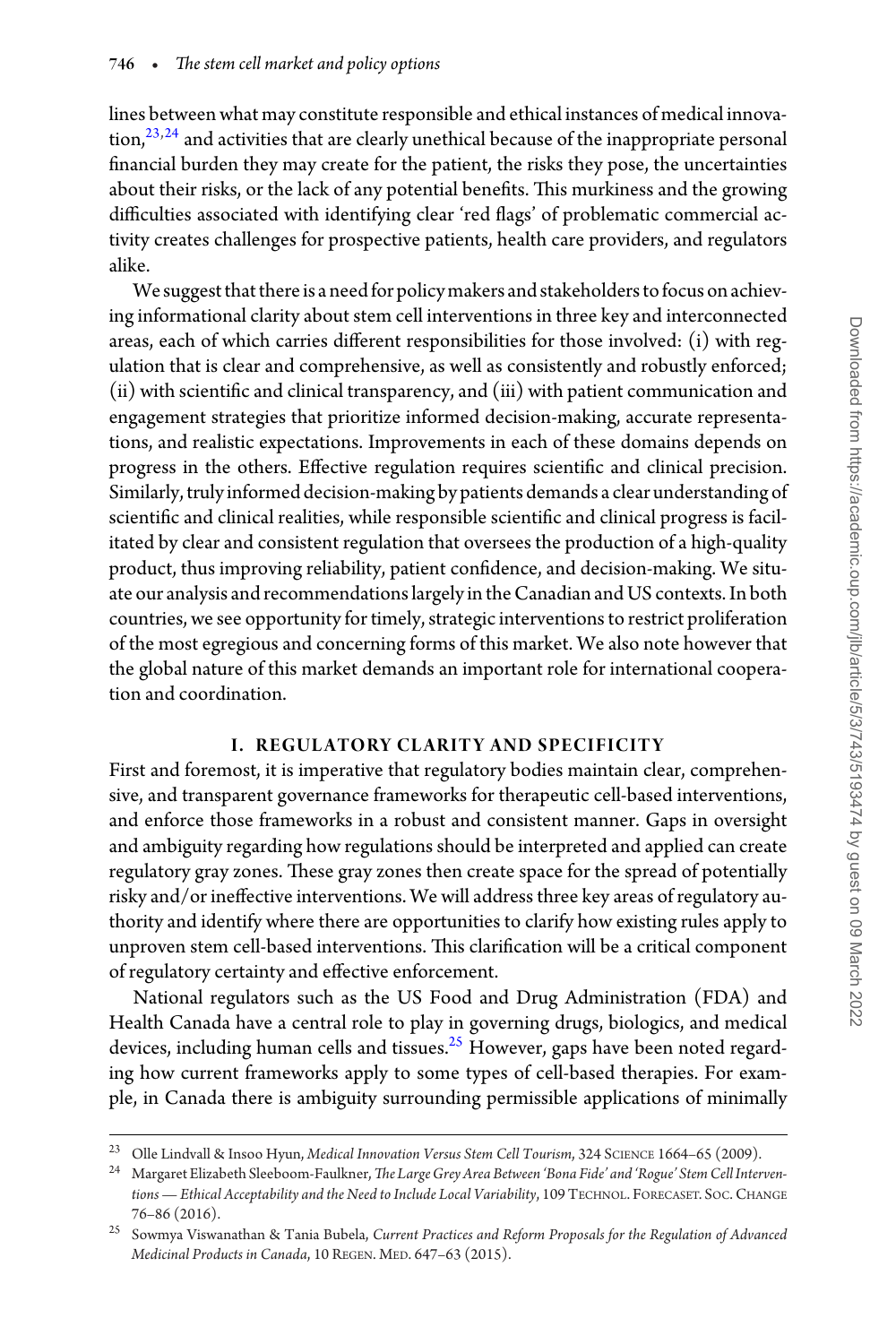lines between what may constitute responsible and ethical instances of medical innovation, $^{23,24}$  $^{23,24}$  $^{23,24}$  $^{23,24}$  and activities that are clearly unethical because of the inappropriate personal financial burden they may create for the patient, the risks they pose, the uncertainties about their risks, or the lack of any potential benefits. This murkiness and the growing difficulties associated with identifying clear 'red flags' of problematic commercial activity creates challenges for prospective patients, health care providers, and regulators alike.

We suggest that there is a need for policy makers and stakeholders to focus on achieving informational clarity about stem cell interventions in three key and interconnected areas, each of which carries different responsibilities for those involved: (i) with regulation that is clear and comprehensive, as well as consistently and robustly enforced; (ii) with scientific and clinical transparency, and (iii) with patient communication and engagement strategies that prioritize informed decision-making, accurate representations, and realistic expectations. Improvements in each of these domains depends on progress in the others. Effective regulation requires scientific and clinical precision. Similarly,truly informed decision-making by patients demands a clear understanding of scientific and clinical realities, while responsible scientific and clinical progress is facilitated by clear and consistent regulation that oversees the production of a high-quality product, thus improving reliability, patient confidence, and decision-making. We situate our analysis and recommendations largely inthe Canadian and US contexts. In both countries, we see opportunity for timely, strategic interventions to restrict proliferation of the most egregious and concerning forms of this market. We also note however that the global nature of this market demands an important role for international cooperation and coordination.

#### **I. REGULATORY CLARITY AND SPECIFICITY**

First and foremost, it is imperative that regulatory bodies maintain clear, comprehensive, and transparent governance frameworks for therapeutic cell-based interventions, and enforce those frameworks in a robust and consistent manner. Gaps in oversight and ambiguity regarding how regulations should be interpreted and applied can create regulatory gray zones. These gray zones then create space for the spread of potentially risky and/or ineffective interventions. We will address three key areas of regulatory authority and identify where there are opportunities to clarify how existing rules apply to unproven stem cell-based interventions. This clarification will be a critical component of regulatory certainty and effective enforcement.

National regulators such as the US Food and Drug Administration (FDA) and Health Canada have a central role to play in governing drugs, biologics, and medical devices, including human cells and tissues.<sup>25</sup> However, gaps have been noted regarding how current frameworks apply to some types of cell-based therapies. For example, in Canada there is ambiguity surrounding permissible applications of minimally

<span id="page-3-0"></span><sup>&</sup>lt;sup>23</sup> Olle Lindvall & Insoo Hyun, *Medical Innovation Versus Stem Cell Tourism*, 324 SCIENCE 1664-65 (2009).

<span id="page-3-1"></span><sup>24</sup> Margaret Elizabeth Sleeboom-Faulkner,*The Large Grey Area Between 'Bona Fide' and 'Rogue' Stem Cell Interventions — Ethical Acceptability and the Need to Include Local Variability*, 109 TECHNOL. FORECASET. SOC. CHANGE 76–86 (2016).

<span id="page-3-2"></span><sup>25</sup> Sowmya Viswanathan & Tania Bubela, *Current Practices and Reform Proposals for the Regulation of Advanced Medicinal Products in Canada*, 10 REGEN. MED. 647–63 (2015).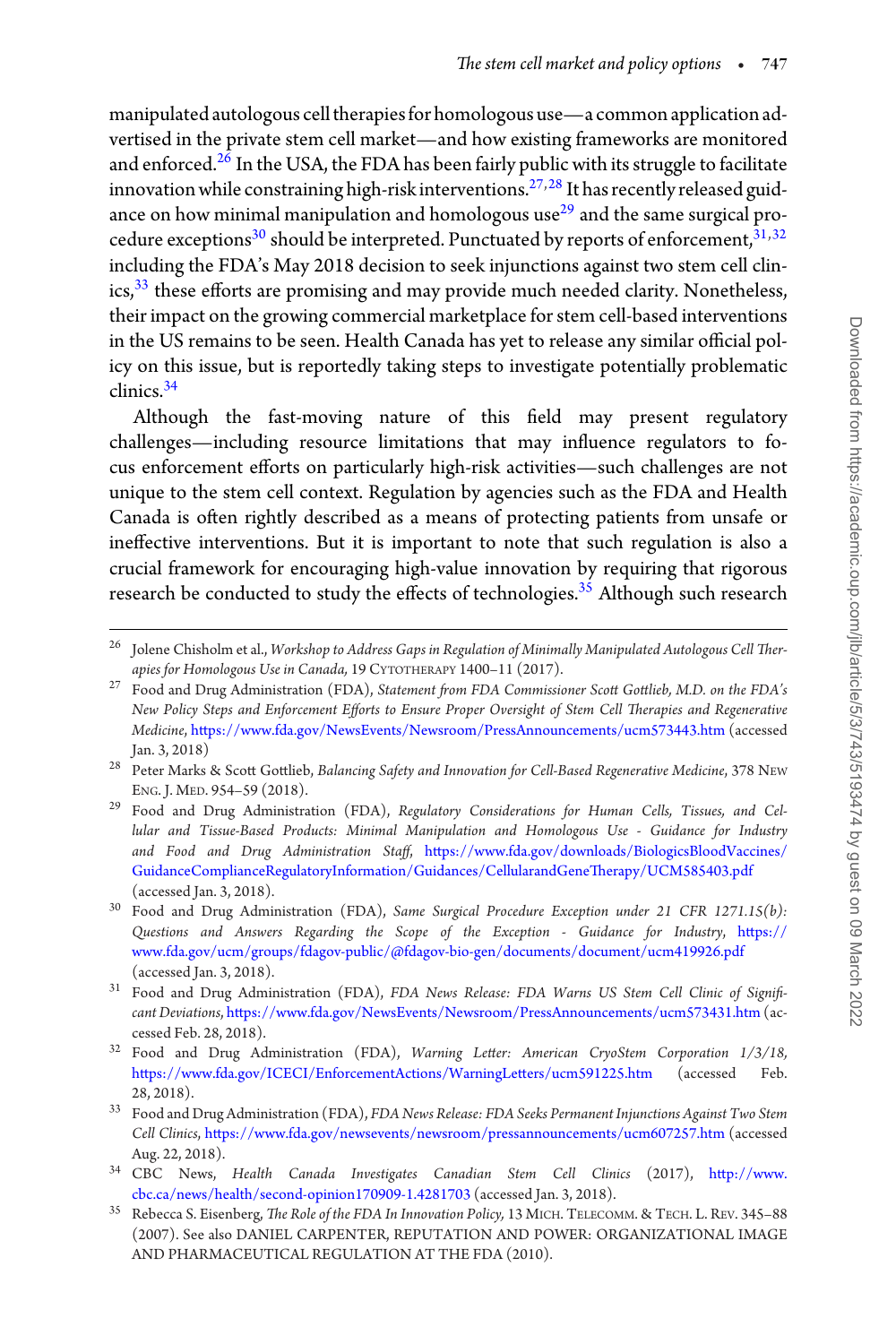manipulated autologous cell therapies for homologous use—a common application advertised in the private stem cell market—and how existing frameworks are monitored and enforced. $^{26}$  In the USA, the FDA has been fairly public with its struggle to facilitate innovation while constraining high-risk interventions.<sup>27,[28](#page-4-2)</sup> It has recently released guidance on how minimal manipulation and homologous use $29$  and the same surgical pro-cedure exceptions<sup>[30](#page-4-4)</sup> should be interpreted. Punctuated by reports of enforcement,  $31,32$  $31,32$ including the FDA's May 2018 decision to seek injunctions against two stem cell clin-ics,<sup>[33](#page-4-7)</sup> these efforts are promising and may provide much needed clarity. Nonetheless, their impact on the growing commercial marketplace for stem cell-based interventions in the US remains to be seen. Health Canada has yet to release any similar official policy on this issue, but is reportedly taking steps to investigate potentially problematic clinics[.34](#page-4-8)

Although the fast-moving nature of this field may present regulatory challenges—including resource limitations that may influence regulators to focus enforcement efforts on particularly high-risk activities—such challenges are not unique to the stem cell context. Regulation by agencies such as the FDA and Health Canada is often rightly described as a means of protecting patients from unsafe or ineffective interventions. But it is important to note that such regulation is also a crucial framework for encouraging high-value innovation by requiring that rigorous research be conducted to study the effects of technologies.<sup>35</sup> Although such research

<span id="page-4-0"></span><sup>26</sup> Jolene Chisholm et al., *Workshop to Address Gaps in Regulation of Minimally Manipulated Autologous Cell Therapies for Homologous Use in Canada,* 19 CYTOTHERAPY 1400–11 (2017).

<span id="page-4-1"></span><sup>27</sup> Food and Drug Administration (FDA), *Statement from FDA Commissioner Scott Gottlieb, M.D. on the FDA's New Policy Steps and Enforcement Efforts to Ensure Proper Oversight of Stem Cell Therapies and Regenerative Medicine*, <https://www.fda.gov/NewsEvents/Newsroom/PressAnnouncements/ucm573443.htm> (accessed Jan. 3, 2018)

<span id="page-4-2"></span><sup>28</sup> Peter Marks & Scott Gottlieb, *Balancing Safety and Innovation for Cell-Based Regenerative Medicine*, 378 NEW ENG. J. MED. 954–59 (2018).

<span id="page-4-3"></span><sup>29</sup> Food and Drug Administration (FDA), *Regulatory Considerations for Human Cells, Tissues, and Cellular and Tissue-Based Products: Minimal Manipulation and Homologous Use - Guidance for Industry and Food and Drug Administration Staff*, [https://www.fda.gov/downloads/BiologicsBloodVaccines/](https://www.fda.gov/downloads/BiologicsBloodVaccines/GuidanceComplianceRegulatoryInformation/Guidances/CellularandGeneTherapy/UCM585403.pdf) [GuidanceComplianceRegulatoryInformation/Guidances/CellularandGeneTherapy/UCM585403.pdf](https://www.fda.gov/downloads/BiologicsBloodVaccines/GuidanceComplianceRegulatoryInformation/Guidances/CellularandGeneTherapy/UCM585403.pdf) (accessed Jan. 3, 2018).

<span id="page-4-4"></span><sup>30</sup> Food and Drug Administration (FDA), *Same Surgical Procedure Exception under 21 CFR 1271.15(b): Questions and Answers Regarding the Scope of the Exception - Guidance for Industry*, [https://](https://www.fda.gov/ucm/groups/fdagov-public/@fdagov-bio-gen/documents/document/ucm419926.pdf) [www.fda.gov/ucm/groups/fdagov-public/@fdagov-bio-gen/documents/document/ucm419926.pdf](https://www.fda.gov/ucm/groups/fdagov-public/@fdagov-bio-gen/documents/document/ucm419926.pdf) (accessed Jan. 3, 2018).

<span id="page-4-5"></span><sup>31</sup> Food and Drug Administration (FDA), *FDA News Release: FDA Warns US Stem Cell Clinic of Significant Deviations*, <https://www.fda.gov/NewsEvents/Newsroom/PressAnnouncements/ucm573431.htm> (accessed Feb. 28, 2018).

<span id="page-4-6"></span><sup>32</sup> Food and Drug Administration (FDA), *Warning Letter: American CryoStem Corporation 1/3/18,* <https://www.fda.gov/ICECI/EnforcementActions/WarningLetters/ucm591225.htm> (accessed Feb. 28, 2018).

<span id="page-4-7"></span><sup>33</sup> Food and Drug Administration (FDA), *FDA News Release: FDA Seeks Permanent Injunctions Against Two Stem Cell Clinics*, <https://www.fda.gov/newsevents/newsroom/pressannouncements/ucm607257.htm> (accessed Aug. 22, 2018).

<span id="page-4-8"></span><sup>34</sup> CBC News, *Health Canada Investigates Canadian Stem Cell Clinics* (2017), [http://www.](http://www.cbc.ca/news/health/second-opinion170909-1.4281703) [cbc.ca/news/health/second-opinion170909-1.4281703](http://www.cbc.ca/news/health/second-opinion170909-1.4281703) (accessed Jan. 3, 2018).

<span id="page-4-9"></span><sup>35</sup> Rebecca S. Eisenberg, *The Role of the FDA In Innovation Policy,* 13 MICH. TELECOMM.&TECH. L. REV. 345–88 (2007). See also DANIEL CARPENTER, REPUTATION AND POWER: ORGANIZATIONAL IMAGE AND PHARMACEUTICAL REGULATION AT THE FDA (2010).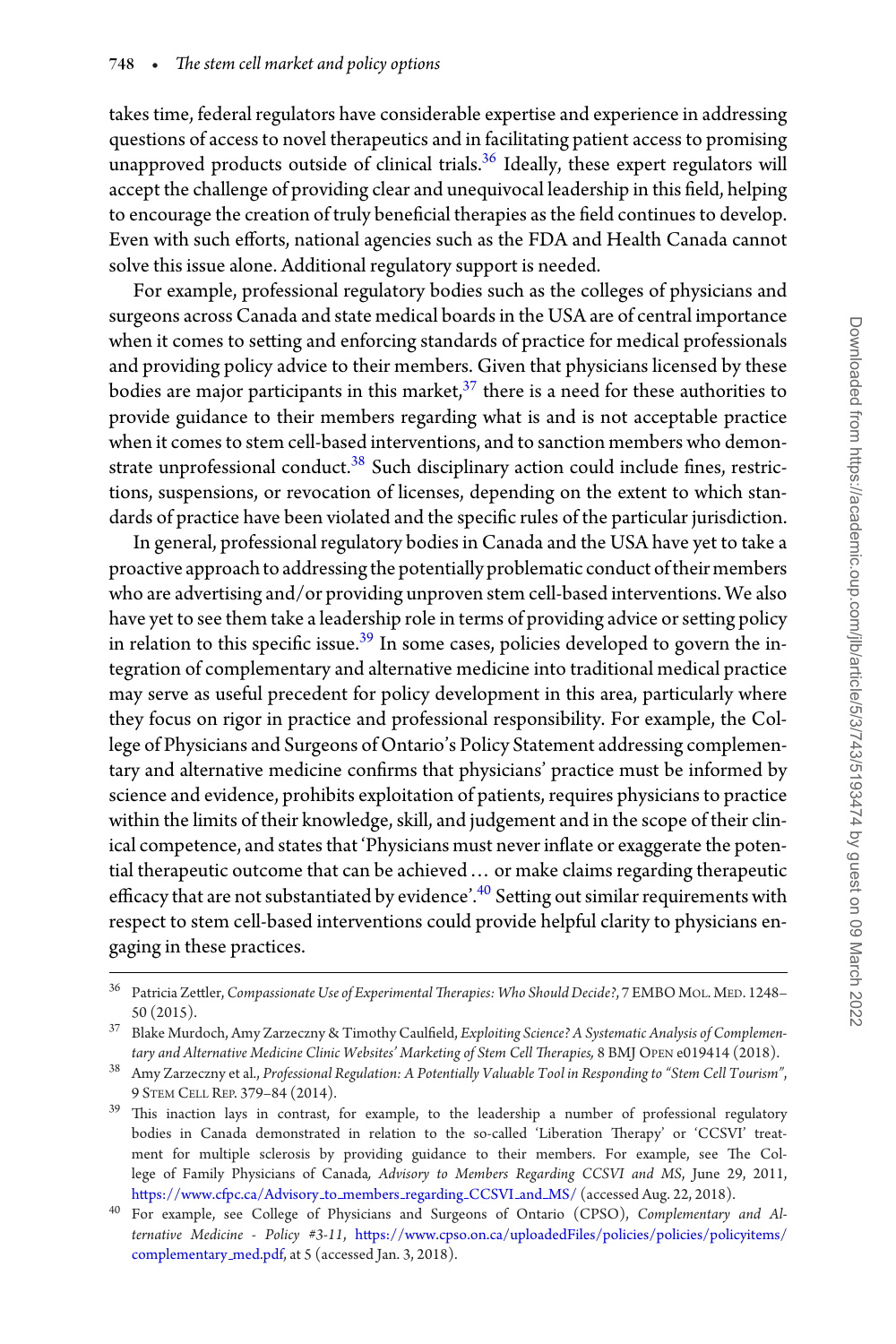takes time, federal regulators have considerable expertise and experience in addressing questions of access to novel therapeutics and in facilitating patient access to promising unapproved products outside of clinical trials.<sup>[36](#page-5-0)</sup> Ideally, these expert regulators will accept the challenge of providing clear and unequivocal leadership in this field, helping to encourage the creation of truly beneficial therapies as the field continues to develop. Even with such efforts, national agencies such as the FDA and Health Canada cannot solve this issue alone. Additional regulatory support is needed.

For example, professional regulatory bodies such as the colleges of physicians and surgeons across Canada and state medical boards in the USA are of central importance when it comes to setting and enforcing standards of practice for medical professionals and providing policy advice to their members. Given that physicians licensed by these bodies are major participants in this market, $37$  there is a need for these authorities to provide guidance to their members regarding what is and is not acceptable practice when it comes to stem cell-based interventions, and to sanction members who demon-strate unprofessional conduct.<sup>[38](#page-5-2)</sup> Such disciplinary action could include fines, restrictions, suspensions, or revocation of licenses, depending on the extent to which standards of practice have been violated and the specific rules of the particular jurisdiction.

In general, professional regulatory bodies in Canada and the USA have yet to take a proactive approach to addressing the potentially problematic conduct of their members who are advertising and/or providing unproven stem cell-based interventions. We also have yet to see them take a leadership role in terms of providing advice or setting policy in relation to this specific issue. $39$  In some cases, policies developed to govern the integration of complementary and alternative medicine into traditional medical practice may serve as useful precedent for policy development in this area, particularly where they focus on rigor in practice and professional responsibility. For example, the College of Physicians and Surgeons of Ontario's Policy Statement addressing complementary and alternative medicine confirms that physicians' practice must be informed by science and evidence, prohibits exploitation of patients, requires physicians to practice within the limits of their knowledge, skill, and judgement and in the scope of their clinical competence, and states that 'Physicians must never inflate or exaggerate the potential therapeutic outcome that can be achieved ... or make claims regarding therapeutic efficacy that are not substantiated by evidence'.<sup>[40](#page-5-4)</sup> Setting out similar requirements with respect to stem cell-based interventions could provide helpful clarity to physicians engaging in these practices.

<span id="page-5-0"></span><sup>36</sup> Patricia Zettler,*Compassionate Use of ExperimentalTherapies: Who Should Decide?*, 7 EMBO MOL. MED. 1248– 50 (2015).

<span id="page-5-1"></span><sup>37</sup> Blake Murdoch, Amy Zarzeczny & Timothy Caulfield, *Exploiting Science? A Systematic Analysis of Complementary and Alternative Medicine Clinic Websites' Marketing of Stem Cell Therapies,* 8 BMJ OPEN e019414 (2018).

<span id="page-5-2"></span><sup>38</sup> Amy Zarzeczny et al., *Professional Regulation: A Potentially Valuable Tool in Responding to "Stem Cell Tourism"*, 9 STEM CELL REP. 379–84 (2014).

<span id="page-5-3"></span><sup>&</sup>lt;sup>39</sup> This inaction lays in contrast, for example, to the leadership a number of professional regulatory bodies in Canada demonstrated in relation to the so-called 'Liberation Therapy' or 'CCSVI' treatment for multiple sclerosis by providing guidance to their members. For example, see The College of Family Physicians of Canada*, Advisory to Members Regarding CCSVI and MS*, June 29, 2011, [https://www.cfpc.ca/Advisory](https://www.cfpc.ca/Advisory_to_members_regarding_CCSVI_and_MS/)\_to\_members\_regarding\_CCSVI\_and\_MS/ (accessed Aug. 22, 2018).

<span id="page-5-4"></span><sup>40</sup> For example, see College of Physicians and Surgeons of Ontario (CPSO), *Complementary and Alternative Medicine - Policy #3-11*, [https://www.cpso.on.ca/uploadedFiles/policies/policies/policyitems/](https://www.cpso.on.ca/uploadedFiles/policies/policies/policyitems/complementary_med.pdf) [complementary](https://www.cpso.on.ca/uploadedFiles/policies/policies/policyitems/complementary_med.pdf) med.pdf, at 5 (accessed Jan. 3, 2018).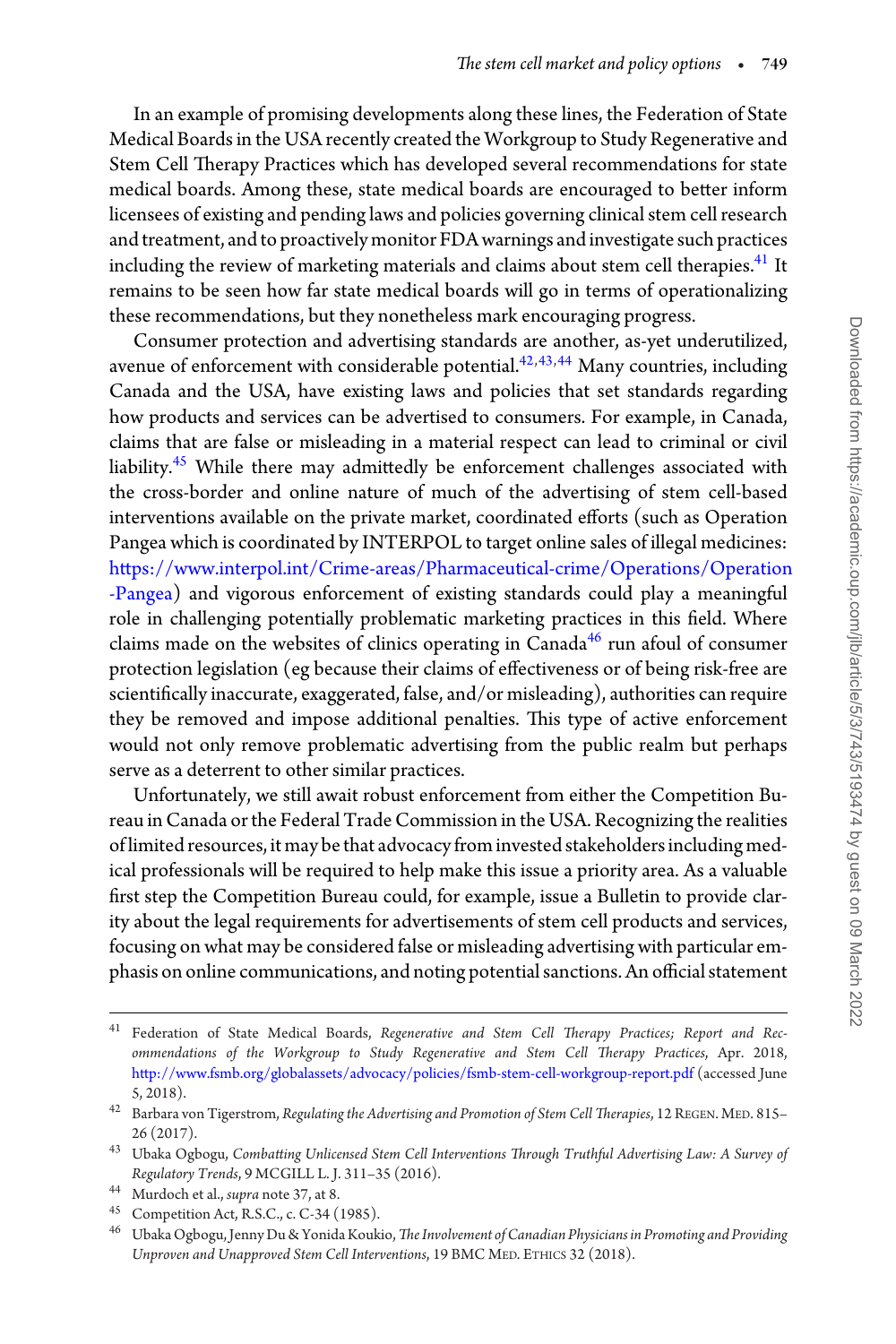In an example of promising developments along these lines, the Federation of State Medical Boards in the USA recently created the Workgroup to Study Regenerative and Stem Cell Therapy Practices which has developed several recommendations for state medical boards. Among these, state medical boards are encouraged to better inform licensees of existing and pending laws and policies governing clinical stem cell research and treatment, and to proactively monitor FDA warnings and investigate such practices including the review of marketing materials and claims about stem cell therapies.<sup>[41](#page-6-0)</sup> It remains to be seen how far state medical boards will go in terms of operationalizing these recommendations, but they nonetheless mark encouraging progress.

Consumer protection and advertising standards are another, as-yet underutilized, avenue of enforcement with considerable potential. $42,43,44$  $42,43,44$  $42,43,44$  Many countries, including Canada and the USA, have existing laws and policies that set standards regarding how products and services can be advertised to consumers. For example, in Canada, claims that are false or misleading in a material respect can lead to criminal or civil liability.[45](#page-6-4) While there may admittedly be enforcement challenges associated with the cross-border and online nature of much of the advertising of stem cell-based interventions available on the private market, coordinated efforts (such as Operation Pangea which is coordinated by INTERPOL to target online sales of illegal medicines: [https://www.interpol.int/Crime-areas/Pharmaceutical-crime/Operations/Operation](https://www.interpol.int/Crime-areas/Pharmaceutical-crime/Operations/Operation-Pangea) [-Pangea\)](https://www.interpol.int/Crime-areas/Pharmaceutical-crime/Operations/Operation-Pangea) and vigorous enforcement of existing standards could play a meaningful role in challenging potentially problematic marketing practices in this field. Where claims made on the websites of clinics operating in Canada<sup>46</sup> run afoul of consumer protection legislation (eg because their claims of effectiveness or of being risk-free are scientifically inaccurate, exaggerated, false, and/or misleading), authorities can require they be removed and impose additional penalties. This type of active enforcement would not only remove problematic advertising from the public realm but perhaps serve as a deterrent to other similar practices.

Unfortunately, we still await robust enforcement from either the Competition Bureau in Canada or the Federal Trade Commission in the USA. Recognizing the realities of limited resources, it may be that advocacy from invested stakeholders including medical professionals will be required to help make this issue a priority area. As a valuable first step the Competition Bureau could, for example, issue a Bulletin to provide clarity about the legal requirements for advertisements of stem cell products and services, focusing on what may be considered false or misleading advertising with particular emphasis on online communications, and noting potential sanctions. An official statement

<span id="page-6-4"></span><sup>45</sup> Competition Act, R.S.C., c. C-34 (1985).

<span id="page-6-0"></span><sup>41</sup> Federation of State Medical Boards, *Regenerative and Stem Cell Therapy Practices; Report and Recommendations of the Workgroup to Study Regenerative and Stem Cell Therapy Practices*, Apr. 2018, <http://www.fsmb.org/globalassets/advocacy/policies/fsmb-stem-cell-workgroup-report.pdf> (accessed June 5, 2018).

<span id="page-6-1"></span><sup>42</sup> Barbara von Tigerstrom, *Regulating the Advertising and Promotion of Stem Cell Therapies*, 12 REGEN. MED. 815– 26 (2017).

<span id="page-6-2"></span><sup>43</sup> Ubaka Ogbogu, *Combatting Unlicensed Stem Cell Interventions Through Truthful Advertising Law: A Survey of Regulatory Trends*, 9 MCGILL L. J. 311–35 (2016).

<span id="page-6-3"></span><sup>44</sup> Murdoch et al., *supra* note 37, at 8.

<span id="page-6-5"></span><sup>46</sup> Ubaka Ogbogu, Jenny Du & Yonida Koukio,*The Involvement of Canadian Physicians in Promoting and Providing Unproven and Unapproved Stem Cell Interventions*, 19 BMC MED. ETHICS 32 (2018).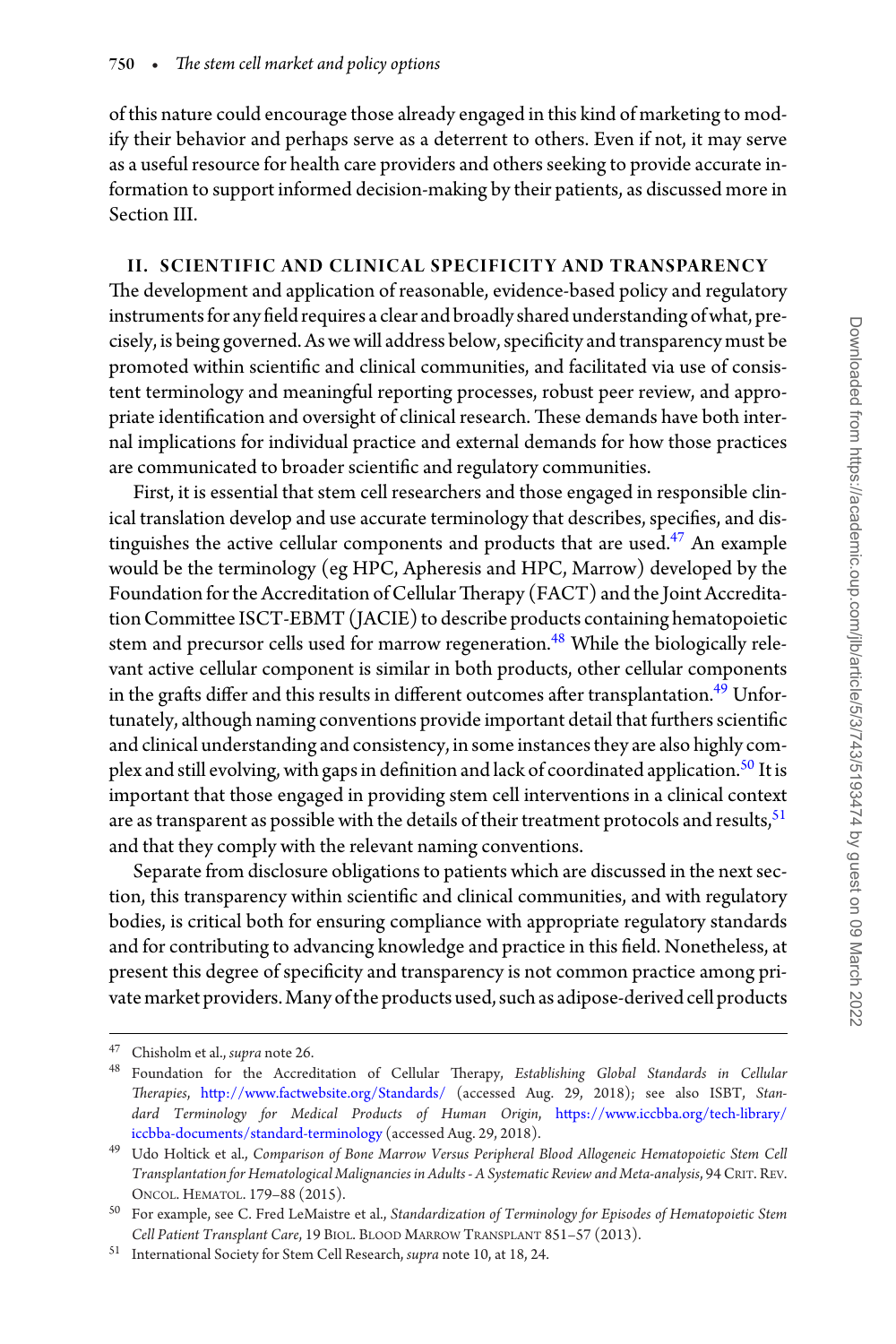of this nature could encourage those already engaged in this kind of marketing to modify their behavior and perhaps serve as a deterrent to others. Even if not, it may serve as a useful resource for health care providers and others seeking to provide accurate information to support informed decision-making by their patients, as discussed more in Section III.

#### **II. SCIENTIFIC AND CLINICAL SPECIFICITY AND TRANSPARENCY**

The development and application of reasonable, evidence-based policy and regulatory instruments for any field requires a clear and broadly shared understanding of what, precisely, is being governed. As we will address below, specificity andtransparency must be promoted within scientific and clinical communities, and facilitated via use of consistent terminology and meaningful reporting processes, robust peer review, and appropriate identification and oversight of clinical research. These demands have both internal implications for individual practice and external demands for how those practices are communicated to broader scientific and regulatory communities.

First, it is essential that stem cell researchers and those engaged in responsible clinical translation develop and use accurate terminology that describes, specifies, and distinguishes the active cellular components and products that are used. $47$  An example would be the terminology (eg HPC, Apheresis and HPC, Marrow) developed by the Foundation for the Accreditation of Cellular Therapy (FACT) and the Joint Accreditation Committee ISCT-EBMT (JACIE) to describe products containing hematopoietic stem and precursor cells used for marrow regeneration.<sup>[48](#page-7-1)</sup> While the biologically relevant active cellular component is similar in both products, other cellular components in the grafts differ and this results in different outcomes after transplantation. $49\overline{9}$  Unfortunately, although naming conventions provide important detail that furthers scientific and clinical understanding and consistency, in some instances they are also highly complex and still evolving, with gaps in definition and lack of coordinated application.<sup>50</sup> It is important that those engaged in providing stem cell interventions in a clinical context are as transparent as possible with the details of their treatment protocols and results,  $51$ and that they comply with the relevant naming conventions.

Separate from disclosure obligations to patients which are discussed in the next section, this transparency within scientific and clinical communities, and with regulatory bodies, is critical both for ensuring compliance with appropriate regulatory standards and for contributing to advancing knowledge and practice in this field. Nonetheless, at present this degree of specificity and transparency is not common practice among private market providers.Many ofthe products used, such as adipose-derived cell products

<span id="page-7-0"></span><sup>47</sup> Chisholm et al., *supra* note 26.

<span id="page-7-1"></span><sup>48</sup> Foundation for the Accreditation of Cellular Therapy, *Establishing Global Standards in Cellular Therapies*, <http://www.factwebsite.org/Standards/> (accessed Aug. 29, 2018); see also ISBT, *Standard Terminology for Medical Products of Human Origin*, [https://www.iccbba.org/tech-library/](https://www.iccbba.org/tech-library/iccbba-documents/standard-terminology) [iccbba-documents/standard-terminology](https://www.iccbba.org/tech-library/iccbba-documents/standard-terminology) (accessed Aug. 29, 2018).

<span id="page-7-2"></span><sup>49</sup> Udo Holtick et al., *Comparison of Bone Marrow Versus Peripheral Blood Allogeneic Hematopoietic Stem Cell Transplantation for Hematological Malignancies in Adults - A Systematic Review and Meta-analysis*, 94 CRIT. REV. ONCOL. HEMATOL. 179–88 (2015).

<span id="page-7-3"></span><sup>50</sup> For example, see C. Fred LeMaistre et al., *Standardization of Terminology for Episodes of Hematopoietic Stem Cell Patient Transplant Care*, 19 BIOL. BLOOD MARROW TRANSPLANT 851–57 (2013).

<span id="page-7-4"></span><sup>51</sup> International Society for Stem Cell Research, *supra* note 10, at 18, 24.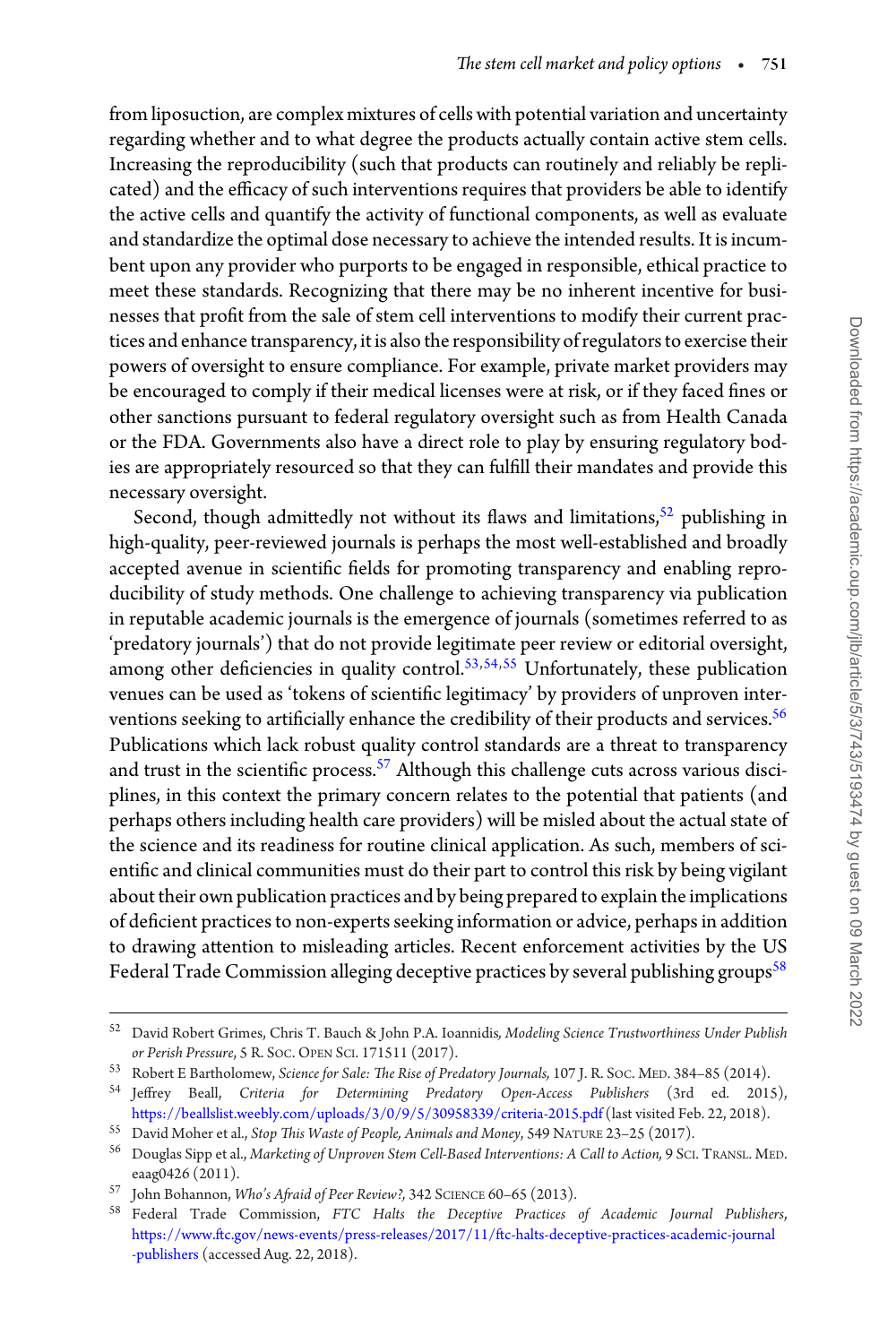from liposuction, are complex mixtures of cells with potential variation and uncertainty regarding whether and to what degree the products actually contain active stem cells. Increasing the reproducibility (such that products can routinely and reliably be replicated) and the efficacy of such interventions requires that providers be able to identify the active cells and quantify the activity of functional components, as well as evaluate and standardize the optimal dose necessary to achieve the intended results. It is incumbent upon any provider who purports to be engaged in responsible, ethical practice to meet these standards. Recognizing that there may be no inherent incentive for businesses that profit from the sale of stem cell interventions to modify their current practices and enhance transparency, it is also the responsibility of regulators to exercise their powers of oversight to ensure compliance. For example, private market providers may be encouraged to comply if their medical licenses were at risk, or if they faced fines or other sanctions pursuant to federal regulatory oversight such as from Health Canada or the FDA. Governments also have a direct role to play by ensuring regulatory bodies are appropriately resourced so that they can fulfill their mandates and provide this necessary oversight.

Second, though admittedly not without its flaws and limitations,  $52$  publishing in high-quality, peer-reviewed journals is perhaps the most well-established and broadly accepted avenue in scientific fields for promoting transparency and enabling reproducibility of study methods. One challenge to achieving transparency via publication in reputable academic journals is the emergence of journals (sometimes referred to as 'predatory journals') that do not provide legitimate peer review or editorial oversight, among other deficiencies in quality control.  $53,54,55$  $53,54,55$  $53,54,55$  Unfortunately, these publication venues can be used as 'tokens of scientific legitimacy' by providers of unproven interventions seeking to artificially enhance the credibility of their products and services.<sup>56</sup> Publications which lack robust quality control standards are a threat to transparency and trust in the scientific process. $57$  Although this challenge cuts across various disciplines, in this context the primary concern relates to the potential that patients (and perhaps others including health care providers) will be misled about the actual state of the science and its readiness for routine clinical application. As such, members of scientific and clinical communities must do their part to control this risk by being vigilant about their own publication practices and by being prepared to explain the implications of deficient practices to non-experts seeking information or advice, perhaps in addition to drawing attention to misleading articles. Recent enforcement activities by the US Federal Trade Commission alleging deceptive practices by several publishing groups<sup>58</sup>

<span id="page-8-0"></span><sup>52</sup> David Robert Grimes, Chris T. Bauch & John P.A. Ioannidis*, Modeling Science Trustworthiness Under Publish or Perish Pressure*, 5 R. SOC. OPEN SCI. 171511 (2017).

<span id="page-8-1"></span><sup>53</sup> Robert E Bartholomew, *Science for Sale: The Rise of Predatory Journals,* 107 J. R. SOC. MED. 384–85 (2014).

<span id="page-8-2"></span><sup>54</sup> Jeffrey Beall, *Criteria for Determining Predatory Open-Access Publishers* (3rd ed. 2015), <https://beallslist.weebly.com/uploads/3/0/9/5/30958339/criteria-2015.pdf> (last visited Feb. 22, 2018).

<span id="page-8-3"></span><sup>55</sup> David Moher et al., *Stop This Waste of People, Animals and Money*, 549 NATURE 23–25 (2017).

<span id="page-8-4"></span><sup>56</sup> Douglas Sipp et al., *Marketing of Unproven Stem Cell-Based Interventions: A Call to Action,* 9 SCI. TRANSL. MED. eaag0426 (2011).

<span id="page-8-5"></span><sup>57</sup> John Bohannon, *Who's Afraid of Peer Review?,* 342 SCIENCE 60–65 (2013).

<span id="page-8-6"></span><sup>58</sup> Federal Trade Commission, *FTC Halts the Deceptive Practices of Academic Journal Publishers*, [https://www.ftc.gov/news-events/press-releases/2017/11/ftc-halts-deceptive-practices-academic-journal](https://www.ftc.gov/news-events/press-releases/2017/11/ftc-halts-deceptive-practices-academic-journal-publishers) [-publishers](https://www.ftc.gov/news-events/press-releases/2017/11/ftc-halts-deceptive-practices-academic-journal-publishers) (accessed Aug. 22, 2018).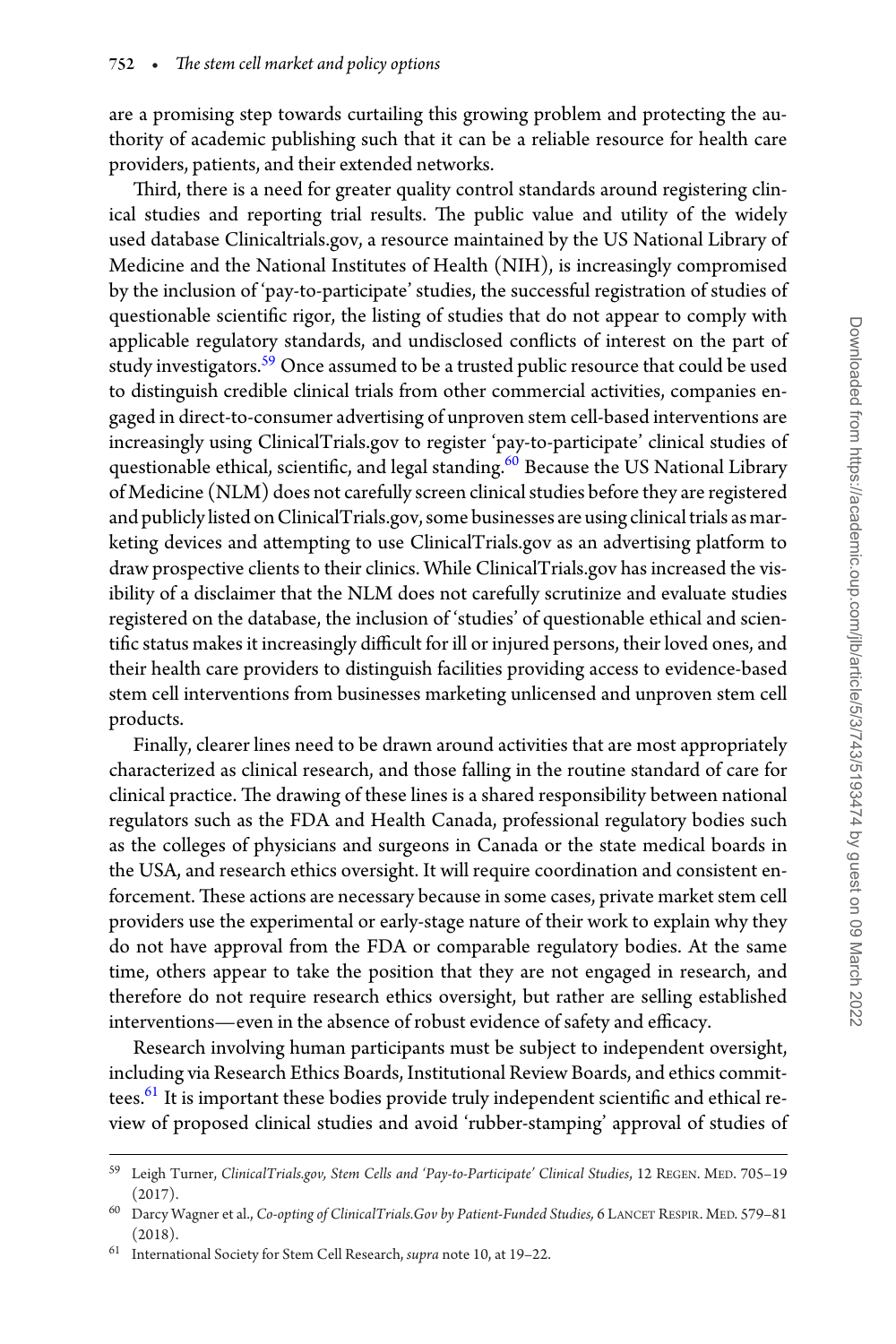are a promising step towards curtailing this growing problem and protecting the authority of academic publishing such that it can be a reliable resource for health care providers, patients, and their extended networks.

Third, there is a need for greater quality control standards around registering clinical studies and reporting trial results. The public value and utility of the widely used database Clinicaltrials.gov, a resource maintained by the US National Library of Medicine and the National Institutes of Health (NIH), is increasingly compromised by the inclusion of 'pay-to-participate' studies, the successful registration of studies of questionable scientific rigor, the listing of studies that do not appear to comply with applicable regulatory standards, and undisclosed conflicts of interest on the part of study investigators.<sup>59</sup> Once assumed to be a trusted public resource that could be used to distinguish credible clinical trials from other commercial activities, companies engaged in direct-to-consumer advertising of unproven stem cell-based interventions are increasingly using ClinicalTrials.gov to register 'pay-to-participate' clinical studies of questionable ethical, scientific, and legal standing.<sup>[60](#page-9-1)</sup> Because the US National Library of Medicine (NLM) does not carefully screen clinical studies before they are registered and publicly listed on ClinicalTrials.gov, some businesses are using clinical trials as marketing devices and attempting to use ClinicalTrials.gov as an advertising platform to draw prospective clients to their clinics. While ClinicalTrials.gov has increased the visibility of a disclaimer that the NLM does not carefully scrutinize and evaluate studies registered on the database, the inclusion of 'studies' of questionable ethical and scientific status makes it increasingly difficult for ill or injured persons, their loved ones, and their health care providers to distinguish facilities providing access to evidence-based stem cell interventions from businesses marketing unlicensed and unproven stem cell products.

Finally, clearer lines need to be drawn around activities that are most appropriately characterized as clinical research, and those falling in the routine standard of care for clinical practice. The drawing of these lines is a shared responsibility between national regulators such as the FDA and Health Canada, professional regulatory bodies such as the colleges of physicians and surgeons in Canada or the state medical boards in the USA, and research ethics oversight. It will require coordination and consistent enforcement. These actions are necessary because in some cases, private market stem cell providers use the experimental or early-stage nature of their work to explain why they do not have approval from the FDA or comparable regulatory bodies. At the same time, others appear to take the position that they are not engaged in research, and therefore do not require research ethics oversight, but rather are selling established interventions—even in the absence of robust evidence of safety and efficacy.

Research involving human participants must be subject to independent oversight, including via Research Ethics Boards, Institutional Review Boards, and ethics committees.<sup>61</sup> It is important these bodies provide truly independent scientific and ethical review of proposed clinical studies and avoid 'rubber-stamping' approval of studies of

<span id="page-9-0"></span><sup>59</sup> Leigh Turner, *ClinicalTrials.gov, Stem Cells and 'Pay-to-Participate' Clinical Studies*, 12 REGEN. MED. 705–19 (2017).

<span id="page-9-1"></span><sup>60</sup> Darcy Wagner et al., *Co-opting of ClinicalTrials.Gov by Patient-Funded Studies,* 6 LANCET RESPIR. MED. 579–81 (2018).

<span id="page-9-2"></span><sup>61</sup> International Society for Stem Cell Research, *supra* note 10, at 19–22.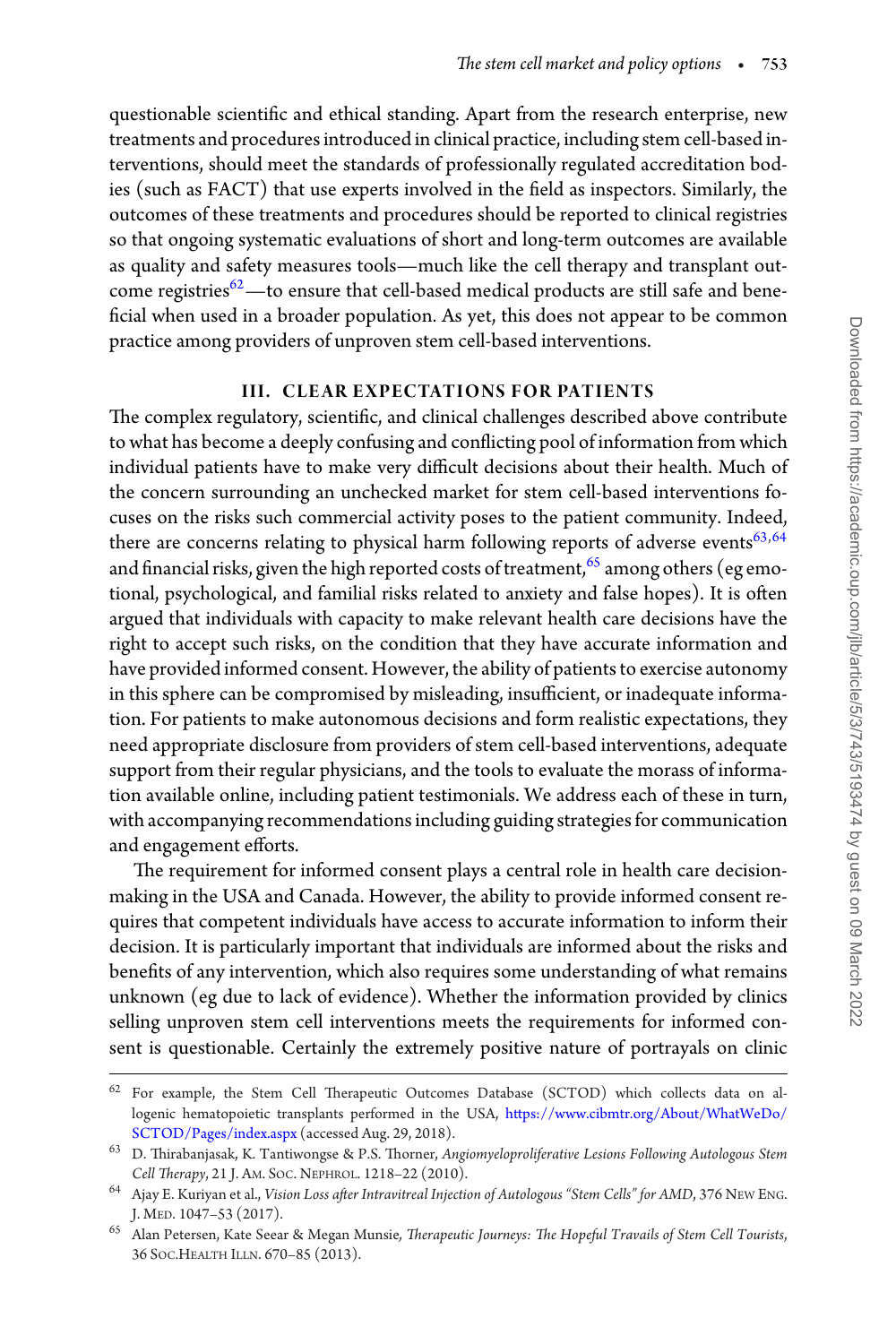questionable scientific and ethical standing. Apart from the research enterprise, new treatments and procedures introduced in clinical practice, including stem cell-based interventions, should meet the standards of professionally regulated accreditation bodies (such as FACT) that use experts involved in the field as inspectors. Similarly, the outcomes of these treatments and procedures should be reported to clinical registries so that ongoing systematic evaluations of short and long-term outcomes are available as quality and safety measures tools—much like the cell therapy and transplant outcome registries $62$ —to ensure that cell-based medical products are still safe and beneficial when used in a broader population. As yet, this does not appear to be common practice among providers of unproven stem cell-based interventions.

#### **III. CLE AR EXPECTATIONS FOR PATIENTS**

The complex regulatory, scientific, and clinical challenges described above contribute to what has become a deeply confusing and conflicting pool of information from which individual patients have to make very difficult decisions about their health. Much of the concern surrounding an unchecked market for stem cell-based interventions focuses on the risks such commercial activity poses to the patient community. Indeed, there are concerns relating to physical harm following reports of adverse events $63,64$  $63,64$ and financial risks, given the high reported costs of treatment,<sup>65</sup> among others (eg emotional, psychological, and familial risks related to anxiety and false hopes). It is often argued that individuals with capacity to make relevant health care decisions have the right to accept such risks, on the condition that they have accurate information and have provided informed consent. However, the ability of patients to exercise autonomy in this sphere can be compromised by misleading, insufficient, or inadequate information. For patients to make autonomous decisions and form realistic expectations, they need appropriate disclosure from providers of stem cell-based interventions, adequate support from their regular physicians, and the tools to evaluate the morass of information available online, including patient testimonials. We address each of these in turn, with accompanying recommendations including guiding strategies for communication and engagement efforts.

The requirement for informed consent plays a central role in health care decisionmaking in the USA and Canada. However, the ability to provide informed consent requires that competent individuals have access to accurate information to inform their decision. It is particularly important that individuals are informed about the risks and benefits of any intervention, which also requires some understanding of what remains unknown (eg due to lack of evidence). Whether the information provided by clinics selling unproven stem cell interventions meets the requirements for informed consent is questionable. Certainly the extremely positive nature of portrayals on clinic

<span id="page-10-0"></span><sup>62</sup> For example, the Stem Cell Therapeutic Outcomes Database (SCTOD) which collects data on allogenic hematopoietic transplants performed in the USA, [https://www.cibmtr.org/About/WhatWeDo/](https://www.cibmtr.org/About/WhatWeDo/SCTOD/Pages/index.aspx) [SCTOD/Pages/index.aspx](https://www.cibmtr.org/About/WhatWeDo/SCTOD/Pages/index.aspx) (accessed Aug. 29, 2018).

<span id="page-10-1"></span><sup>63</sup> D. Thirabanjasak, K. Tantiwongse & P.S. Thorner, *Angiomyeloproliferative Lesions Following Autologous Stem Cell Therapy*, 21 J. AM. SOC. NEPHROL. 1218–22 (2010).

<span id="page-10-2"></span><sup>64</sup> Ajay E. Kuriyan et al., *Vision Loss after Intravitreal Injection of Autologous "Stem Cells" for AMD*, 376 NEW ENG. J. MED. 1047–53 (2017).

<span id="page-10-3"></span><sup>65</sup> Alan Petersen, Kate Seear & Megan Munsie*, Therapeutic Journeys: The Hopeful Travails of Stem Cell Tourists*, 36 SOC.HEALTH ILLN. 670–85 (2013).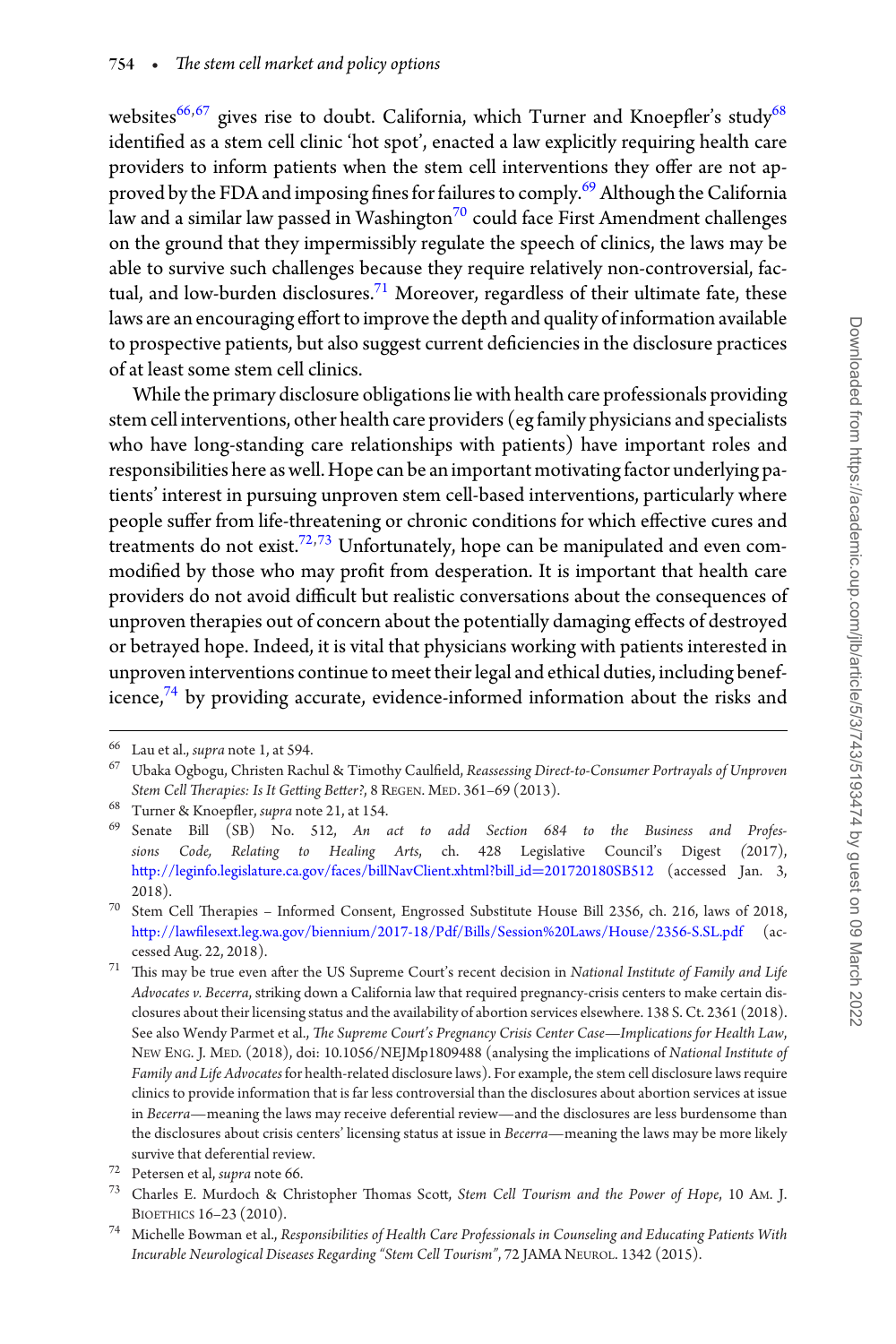websites $66,67$  $66,67$  gives rise to doubt. California, which Turner and Knoepfler's study<sup>68</sup> identified as a stem cell clinic 'hot spot', enacted a law explicitly requiring health care providers to inform patients when the stem cell interventions they offer are not ap-proved by the FDA and imposing fines for failures to comply.<sup>[69](#page-11-3)</sup> Although the California law and a similar law passed in Washington<sup>70</sup> could face First Amendment challenges on the ground that they impermissibly regulate the speech of clinics, the laws may be able to survive such challenges because they require relatively non-controversial, fac-tual, and low-burden disclosures.<sup>[71](#page-11-5)</sup> Moreover, regardless of their ultimate fate, these laws are an encouraging effort to improve the depth and quality of information available to prospective patients, but also suggest current deficiencies in the disclosure practices of at least some stem cell clinics.

While the primary disclosure obligations lie with health care professionals providing stem cell interventions, other health care providers (eg family physicians and specialists who have long-standing care relationships with patients) have important roles and responsibilities here as well. Hope can be an important motivating factor underlying patients' interest in pursuing unproven stem cell-based interventions, particularly where people suffer from life-threatening or chronic conditions for which effective cures and treatments do not exist.<sup>72,[73](#page-11-7)</sup> Unfortunately, hope can be manipulated and even commodified by those who may profit from desperation. It is important that health care providers do not avoid difficult but realistic conversations about the consequences of unproven therapies out of concern about the potentially damaging effects of destroyed or betrayed hope. Indeed, it is vital that physicians working with patients interested in unproven interventions continue to meet their legal and ethical duties, including beneficence, $74$  by providing accurate, evidence-informed information about the risks and

<span id="page-11-0"></span><sup>66</sup> Lau et al., *supra* note 1, at 594.

<span id="page-11-1"></span><sup>67</sup> Ubaka Ogbogu, Christen Rachul & Timothy Caulfield, *Reassessing Direct-to-Consumer Portrayals of Unproven Stem Cell Therapies: Is It Getting Better?*,8REGEN. MED. 361–69 (2013).

<span id="page-11-2"></span><sup>68</sup> Turner & Knoepfler, *supra* note 21, at 154.

<span id="page-11-3"></span><sup>69</sup> Senate Bill (SB) No. 512, *An act to add Section 684 to the Business and Professions Code, Relating to Healing Arts*, ch. 428 Legislative Council's Digest *(*2017), [http://leginfo.legislature.ca.gov/faces/billNavClient.xhtml?bill](http://leginfo.legislature.ca.gov/faces/billNavClient.xhtml?bill_id=201720180SB512) id=201720180SB512 (accessed Jan. 3, 2018).

<span id="page-11-4"></span><sup>70</sup> Stem Cell Therapies – Informed Consent, Engrossed Substitute House Bill 2356, ch. 216, laws of 2018, <http://lawfilesext.leg.wa.gov/biennium/2017-18/Pdf/Bills/Session%20Laws/House/2356-S.SL.pdf> (accessed Aug. 22, 2018).

<span id="page-11-5"></span><sup>71</sup> This may be true even after the US Supreme Court's recent decision in *National Institute of Family and Life Advocates v. Becerra*, striking down a California law that required pregnancy-crisis centers to make certain disclosures about their licensing status and the availability of abortion services elsewhere. 138 S. Ct. 2361 (2018). See also Wendy Parmet et al., *The Supreme Court's Pregnancy Crisis Center Case—Implications for Health Law*, NEW ENG. J. MED. (2018), doi: 10.1056/NEJMp1809488 (analysing the implications of *National Institute of Family and Life Advocates* for health-related disclosure laws). For example, the stem cell disclosure laws require clinics to provide information that is far less controversial than the disclosures about abortion services at issue in *Becerra*—meaning the laws may receive deferential review—and the disclosures are less burdensome than the disclosures about crisis centers' licensing status at issue in *Becerra*—meaning the laws may be more likely survive that deferential review.

<span id="page-11-6"></span><sup>72</sup> Petersen et al, *supra* note 66.

<span id="page-11-7"></span><sup>73</sup> Charles E. Murdoch & Christopher Thomas Scott, *Stem Cell Tourism and the Power of Hope*, 10 AM. J. BIOETHICS 16–23 (2010).

<span id="page-11-8"></span><sup>74</sup> Michelle Bowman et al., *Responsibilities of Health Care Professionals in Counseling and Educating Patients With Incurable Neurological Diseases Regarding "Stem Cell Tourism"*, 72 JAMA NEUROL. 1342 (2015).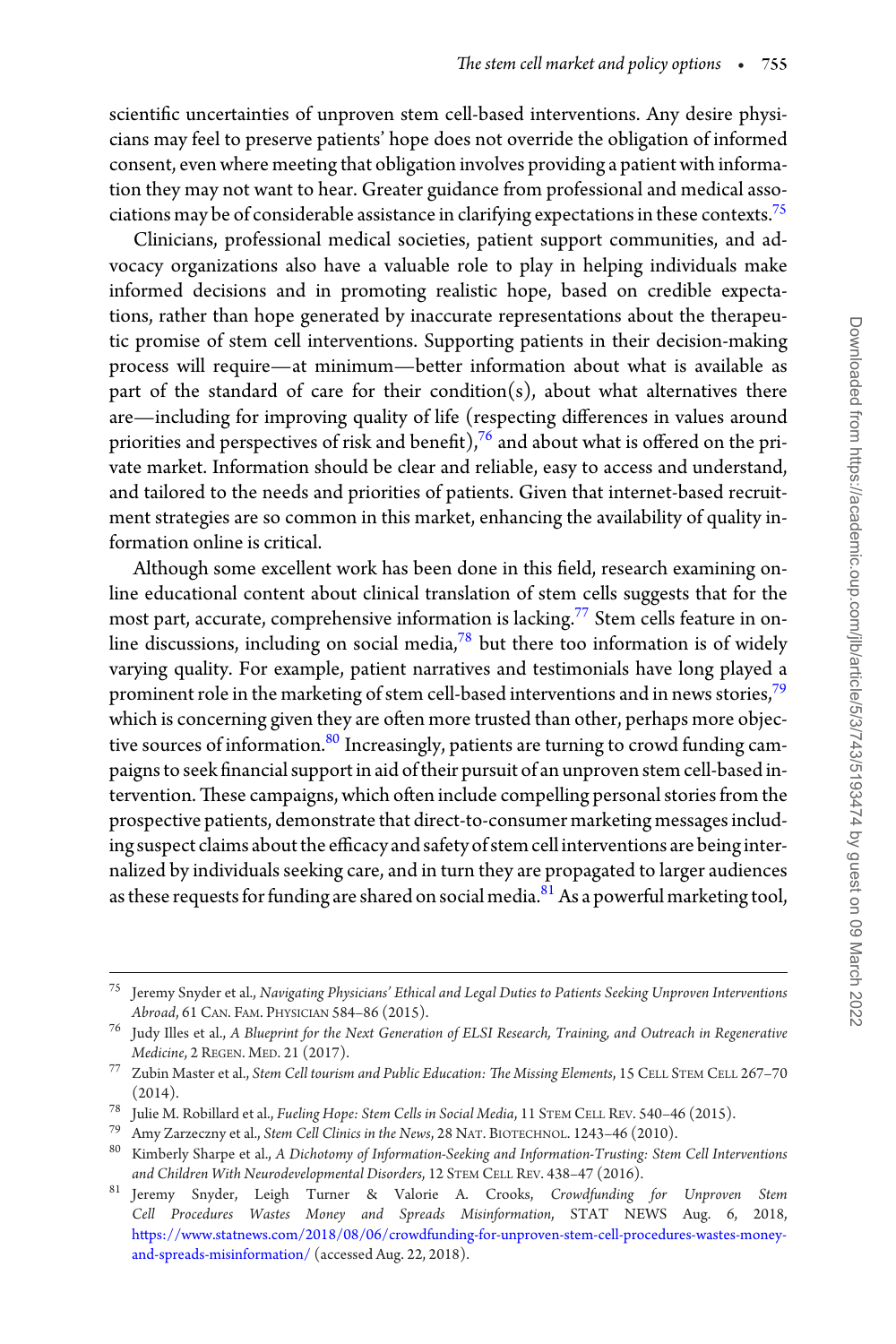scientific uncertainties of unproven stem cell-based interventions. Any desire physicians may feel to preserve patients' hope does not override the obligation of informed consent, even where meeting that obligation involves providing a patient with information they may not want to hear. Greater guidance from professional and medical associations may be of considerable assistance in clarifying expectations in these contexts.<sup>75</sup>

Clinicians, professional medical societies, patient support communities, and advocacy organizations also have a valuable role to play in helping individuals make informed decisions and in promoting realistic hope, based on credible expectations, rather than hope generated by inaccurate representations about the therapeutic promise of stem cell interventions. Supporting patients in their decision-making process will require—at minimum—better information about what is available as part of the standard of care for their condition(s), about what alternatives there are—including for improving quality of life (respecting differences in values around priorities and perspectives of risk and benefit), $\frac{76}{9}$  $\frac{76}{9}$  $\frac{76}{9}$  and about what is offered on the private market. Information should be clear and reliable, easy to access and understand, and tailored to the needs and priorities of patients. Given that internet-based recruitment strategies are so common in this market, enhancing the availability of quality information online is critical.

Although some excellent work has been done in this field, research examining online educational content about clinical translation of stem cells suggests that for the most part, accurate, comprehensive information is lacking[.77](#page-12-2) Stem cells feature in online discussions, including on social media, $78$  but there too information is of widely varying quality. For example, patient narratives and testimonials have long played a prominent role in the marketing of stem cell-based interventions and in news stories,  $\frac{79}{2}$  $\frac{79}{2}$  $\frac{79}{2}$ which is concerning given they are often more trusted than other, perhaps more objec-tive sources of information.<sup>[80](#page-12-5)</sup> Increasingly, patients are turning to crowd funding campaignsto seek financial support in aid oftheir pursuit of an unproven stem cell-based intervention.These campaigns, which often include compelling personal stories from the prospective patients, demonstrate that direct-to-consumer marketing messages including suspect claims about the efficacy and safety of stem cell interventions are being internalized by individuals seeking care, and in turn they are propagated to larger audiences as these requests for funding are shared on social media.<sup>81</sup> As a powerful marketing tool,

<span id="page-12-0"></span><sup>75</sup> Jeremy Snyder et al., *Navigating Physicians' Ethical and Legal Duties to Patients Seeking Unproven Interventions Abroad*, 61 CAN. FAM. PHYSICIAN 584–86 (2015).

<span id="page-12-1"></span><sup>76</sup> Judy Illes et al., *A Blueprint for the Next Generation of ELSI Research, Training, and Outreach in Regenerative Medicine*,2REGEN. MED. 21 (2017).

<span id="page-12-2"></span><sup>77</sup> Zubin Master et al., *Stem Cell tourism and Public Education: The Missing Elements*, 15 CELL STEM CELL 267–70 (2014).

<span id="page-12-3"></span><sup>78</sup> Julie M. Robillard et al., *Fueling Hope: Stem Cells in Social Media*, 11 STEM CELL REV. 540–46 (2015).

<span id="page-12-4"></span><sup>79</sup> Amy Zarzeczny et al., *Stem Cell Clinics in the News*, 28 NAT. BIOTECHNOL. 1243–46 (2010).

<span id="page-12-5"></span><sup>80</sup> Kimberly Sharpe et al., *A Dichotomy of Information-Seeking and Information-Trusting: Stem Cell Interventions and Children With Neurodevelopmental Disorders*, 12 STEM CELL REV. 438–47 (2016).

<span id="page-12-6"></span><sup>81</sup> Jeremy Snyder, Leigh Turner & Valorie A. Crooks, *Crowdfunding for Unproven Stem Cell Procedures Wastes Money and Spreads Misinformation*, STAT NEWS Aug. 6, 2018, [https://www.statnews.com/2018/08/06/crowdfunding-for-unproven-stem-cell-procedures-wastes-money](https://www.statnews.com/2018/08/06/crowdfunding-for-unproven-stem-cell-procedures-wastes-money-and-spreads-misinformation/)[and-spreads-misinformation/](https://www.statnews.com/2018/08/06/crowdfunding-for-unproven-stem-cell-procedures-wastes-money-and-spreads-misinformation/) (accessed Aug. 22, 2018).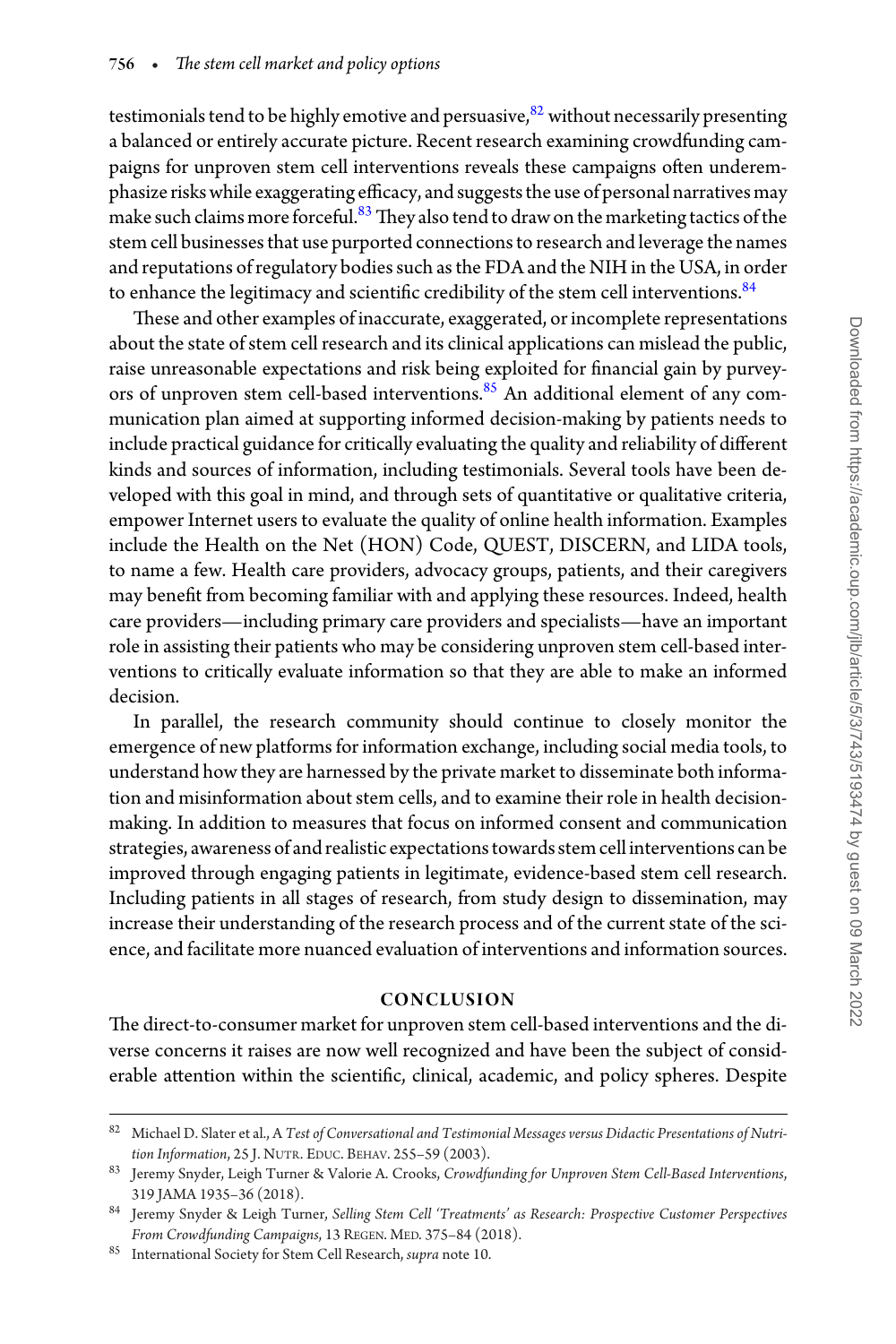testimonials tend to be highly emotive and persuasive,  $82$  without necessarily presenting a balanced or entirely accurate picture. Recent research examining crowdfunding campaigns for unproven stem cell interventions reveals these campaigns often underemphasize risks while exaggerating efficacy, and suggests the use of personal narratives may make such claims more forceful. $83$  They also tend to draw on the marketing tactics of the stem cell businesses that use purported connections to research and leverage the names and reputations of regulatory bodies such as the FDA and the NIH in the USA, in order to enhance the legitimacy and scientific credibility of the stem cell interventions.<sup>[84](#page-13-2)</sup>

These and other examples of inaccurate, exaggerated, or incomplete representations about the state of stem cell research and its clinical applications can mislead the public, raise unreasonable expectations and risk being exploited for financial gain by purveyors of unproven stem cell-based interventions.<sup>85</sup> An additional element of any communication plan aimed at supporting informed decision-making by patients needs to include practical guidance for critically evaluating the quality and reliability of different kinds and sources of information, including testimonials. Several tools have been developed with this goal in mind, and through sets of quantitative or qualitative criteria, empower Internet users to evaluate the quality of online health information. Examples include the Health on the Net (HON) Code, QUEST, DISCERN, and LIDA tools, to name a few. Health care providers, advocacy groups, patients, and their caregivers may benefit from becoming familiar with and applying these resources. Indeed, health care providers—including primary care providers and specialists—have an important role in assisting their patients who may be considering unproven stem cell-based interventions to critically evaluate information so that they are able to make an informed decision.

In parallel, the research community should continue to closely monitor the emergence of new platforms for information exchange, including social media tools, to understand how they are harnessed by the private market to disseminate both information and misinformation about stem cells, and to examine their role in health decisionmaking. In addition to measures that focus on informed consent and communication strategies, awareness of and realistic expectationstowards stem cell interventions can be improved through engaging patients in legitimate, evidence-based stem cell research. Including patients in all stages of research, from study design to dissemination, may increase their understanding of the research process and of the current state of the science, and facilitate more nuanced evaluation of interventions and information sources.

## **CONCLUSION**

The direct-to-consumer market for unproven stem cell-based interventions and the diverse concerns it raises are now well recognized and have been the subject of considerable attention within the scientific, clinical, academic, and policy spheres. Despite

<span id="page-13-0"></span><sup>82</sup> Michael D. Slater et al., A *Test of Conversational and Testimonial Messages versus Didactic Presentations of Nutrition Information*, 25 J. NUTR. EDUC. BEHAV. 255–59 (2003).

<span id="page-13-1"></span><sup>83</sup> Jeremy Snyder, Leigh Turner & Valorie A. Crooks, *Crowdfunding for Unproven Stem Cell-Based Interventions*, 319 JAMA 1935–36 (2018).

<span id="page-13-2"></span><sup>84</sup> Jeremy Snyder & Leigh Turner, *Selling Stem Cell 'Treatments' as Research: Prospective Customer Perspectives From Crowdfunding Campaigns*, 13 REGEN. MED. 375–84 (2018).

<span id="page-13-3"></span><sup>85</sup> International Society for Stem Cell Research, *supra* note 10.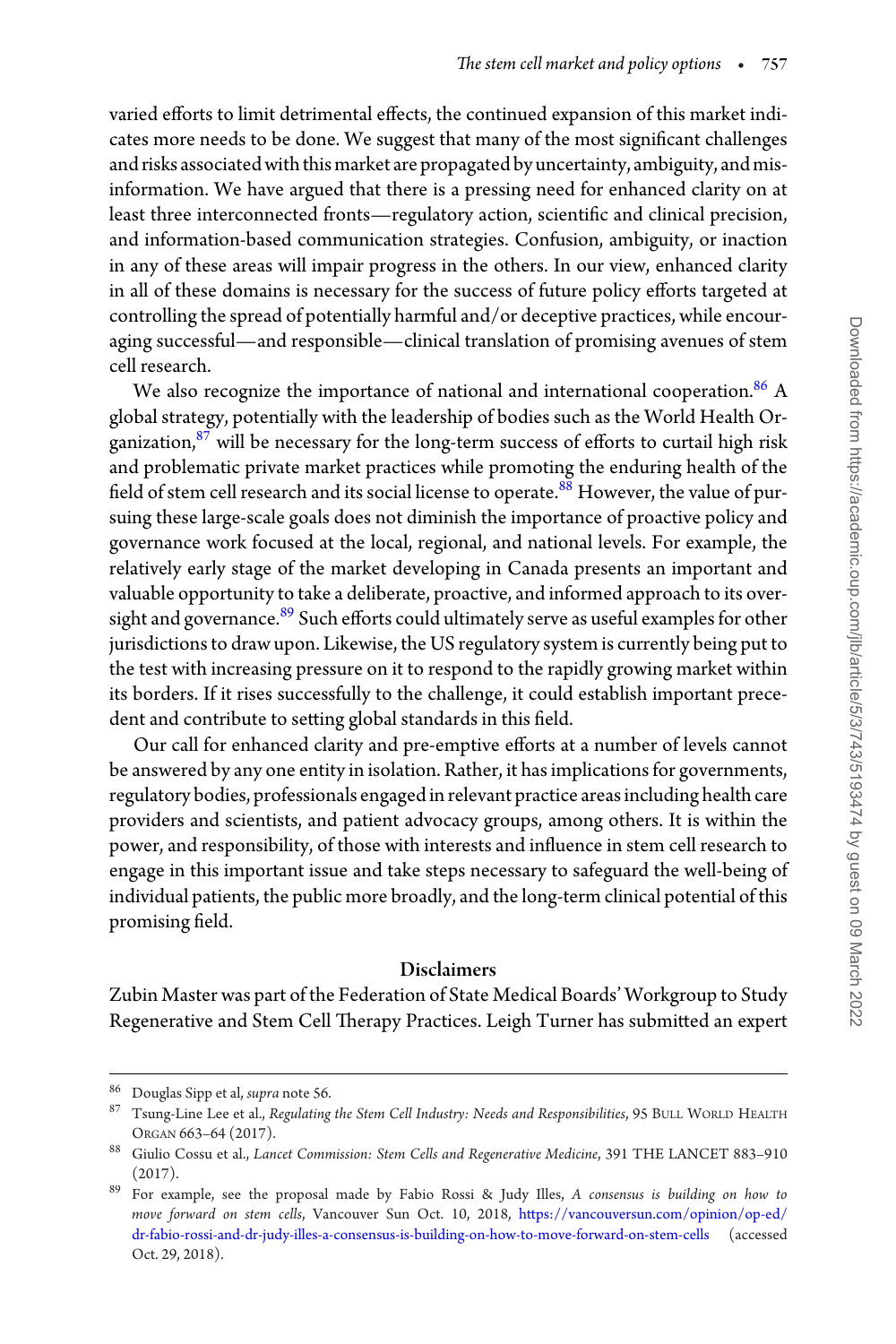varied efforts to limit detrimental effects, the continued expansion of this market indicates more needs to be done. We suggest that many of the most significant challenges and risks associated with this market are propagated by uncertainty, ambiguity, and misinformation. We have argued that there is a pressing need for enhanced clarity on at least three interconnected fronts—regulatory action, scientific and clinical precision, and information-based communication strategies. Confusion, ambiguity, or inaction in any of these areas will impair progress in the others. In our view, enhanced clarity in all of these domains is necessary for the success of future policy efforts targeted at controlling the spread of potentially harmful and/or deceptive practices, while encouraging successful—and responsible—clinical translation of promising avenues of stem cell research.

We also recognize the importance of national and international cooperation.<sup>86</sup> A global strategy, potentially with the leadership of bodies such as the World Health Organization, $87$  will be necessary for the long-term success of efforts to curtail high risk and problematic private market practices while promoting the enduring health of the field of stem cell research and its social license to operate.<sup>[88](#page-14-2)</sup> However, the value of pursuing these large-scale goals does not diminish the importance of proactive policy and governance work focused at the local, regional, and national levels. For example, the relatively early stage of the market developing in Canada presents an important and valuable opportunity to take a deliberate, proactive, and informed approach to its oversight and governance.<sup>89</sup> Such efforts could ultimately serve as useful examples for other jurisdictions to draw upon. Likewise, the US regulatory system is currently being put to the test with increasing pressure on it to respond to the rapidly growing market within its borders. If it rises successfully to the challenge, it could establish important precedent and contribute to setting global standards in this field.

Our call for enhanced clarity and pre-emptive efforts at a number of levels cannot be answered by any one entity in isolation. Rather, it has implications for governments, regulatory bodies, professionals engaged in relevant practice areas including health care providers and scientists, and patient advocacy groups, among others. It is within the power, and responsibility, of those with interests and influence in stem cell research to engage in this important issue and take steps necessary to safeguard the well-being of individual patients, the public more broadly, and the long-term clinical potential of this promising field.

#### **Disclaimers**

Zubin Master was part of the Federation of State Medical Boards' Workgroup to Study Regenerative and Stem Cell Therapy Practices. Leigh Turner has submitted an expert

<span id="page-14-0"></span><sup>86</sup> Douglas Sipp et al, *supra* note 56.

<span id="page-14-1"></span><sup>87</sup> Tsung-Line Lee et al., *Regulating the Stem Cell Industry: Needs and Responsibilities*, 95 BULL WORLD HEALTH ORGAN 663–64 (2017).

<span id="page-14-2"></span><sup>88</sup> Giulio Cossu et al., *Lancet Commission: Stem Cells and Regenerative Medicine*, 391 THE LANCET 883–910 (2017).

<span id="page-14-3"></span><sup>89</sup> For example, see the proposal made by Fabio Rossi & Judy Illes, *A consensus is building on how to move forward on stem cells*, Vancouver Sun Oct. 10, 2018, [https://vancouversun.com/opinion/op-ed/](https://vancouversun.com/opinion/op-ed/dr-fabio-rossi-and-dr-judy-illes-a-consensus-is-building-on-how-to-move-forward-on-stem-cells) [dr-fabio-rossi-and-dr-judy-illes-a-consensus-is-building-on-how-to-move-forward-on-stem-cells](https://vancouversun.com/opinion/op-ed/dr-fabio-rossi-and-dr-judy-illes-a-consensus-is-building-on-how-to-move-forward-on-stem-cells) (accessed Oct. 29, 2018).